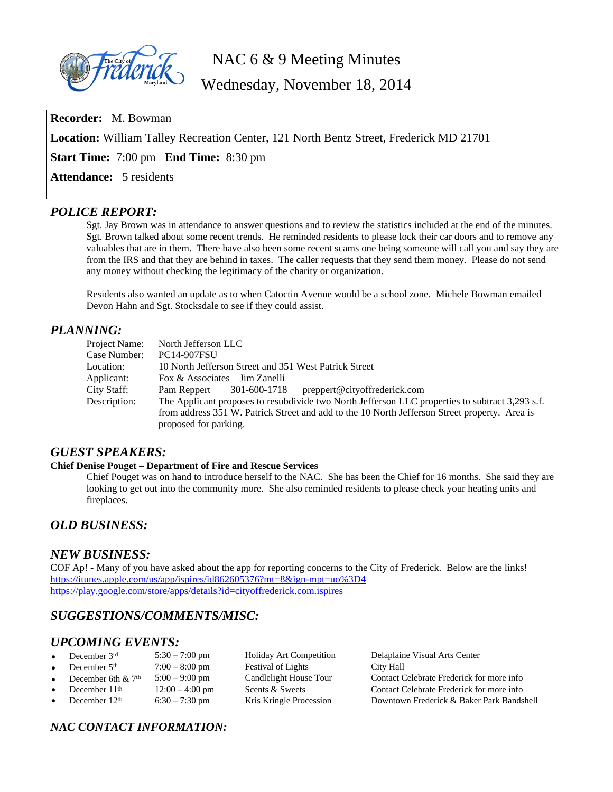

NAC 6 & 9 Meeting Minutes

Wednesday, November 18, 2014

**Recorder:** M. Bowman **Location:** William Talley Recreation Center, 121 North Bentz Street, Frederick MD 21701 **Start Time:** 7:00 pm **End Time:** 8:30 pm **Attendance:** 5 residents

## *POLICE REPORT:*

Sgt. Jay Brown was in attendance to answer questions and to review the statistics included at the end of the minutes. Sgt. Brown talked about some recent trends. He reminded residents to please lock their car doors and to remove any valuables that are in them. There have also been some recent scams one being someone will call you and say they are from the IRS and that they are behind in taxes. The caller requests that they send them money. Please do not send any money without checking the legitimacy of the charity or organization.

Residents also wanted an update as to when Catoctin Avenue would be a school zone. Michele Bowman emailed Devon Hahn and Sgt. Stocksdale to see if they could assist.

## *PLANNING:*

| Project Name: | North Jefferson LLC                                                                                                                                                                              |
|---------------|--------------------------------------------------------------------------------------------------------------------------------------------------------------------------------------------------|
| Case Number:  | <b>PC14-907FSU</b>                                                                                                                                                                               |
| Location:     | 10 North Jefferson Street and 351 West Patrick Street                                                                                                                                            |
| Applicant:    | Fox $\&$ Associates – Jim Zanelli                                                                                                                                                                |
| City Staff:   | Pam Reppert 301-600-1718 preppert@cityoffrederick.com                                                                                                                                            |
| Description:  | The Applicant proposes to resubdivide two North Jefferson LLC properties to subtract 3,293 s.f.<br>from address 351 W. Patrick Street and add to the 10 North Jefferson Street property. Area is |
|               |                                                                                                                                                                                                  |
|               | proposed for parking.                                                                                                                                                                            |

## *GUEST SPEAKERS:*

### **Chief Denise Pouget – Department of Fire and Rescue Services**

Chief Pouget was on hand to introduce herself to the NAC. She has been the Chief for 16 months. She said they are looking to get out into the community more. She also reminded residents to please check your heating units and fireplaces.

# *OLD BUSINESS:*

## *NEW BUSINESS:*

COF Ap! - Many of you have asked about the app for reporting concerns to the City of Frederick. Below are the links! <https://itunes.apple.com/us/app/ispires/id862605376?mt=8&ign-mpt=uo%3D4> <https://play.google.com/store/apps/details?id=cityoffrederick.com.ispires>

# *SUGGESTIONS/COMMENTS/MISC:*

# *UPCOMING EVENTS:*

December  $3^{rd}$  5:30 – 7:00 pm Holiday Art Competition Delaplaine Visual Arts Center<br>December  $5^{th}$  7:00 – 8:00 pm Festival of Lights City Hall City Hall December 5<sup>th</sup>  $7:00 - 8:00 \text{ pm}$  Festival of Lights December 6th & 7<sup>th</sup> 5:00 – 9:00 pm Candlelight House Tour December 6th & 7<sup>th</sup> 5:00 – 9:00 pm Candlelight House Tour Contact Celebrate Frederick for more info<br>December 11<sup>th</sup> 12:00 – 4:00 pm Scents & Sweets Contact Celebrate Frederick for more info December 11<sup>th</sup> 12:00 – 4:00 pm Scents & Sweets Contact Celebrate Frederick for more info December  $12<sup>th</sup>$  6:30 – 7:30 pm Kris Kringle Procession Downtown Frederick & Baker Park Bandshell

# *NAC CONTACT INFORMATION:*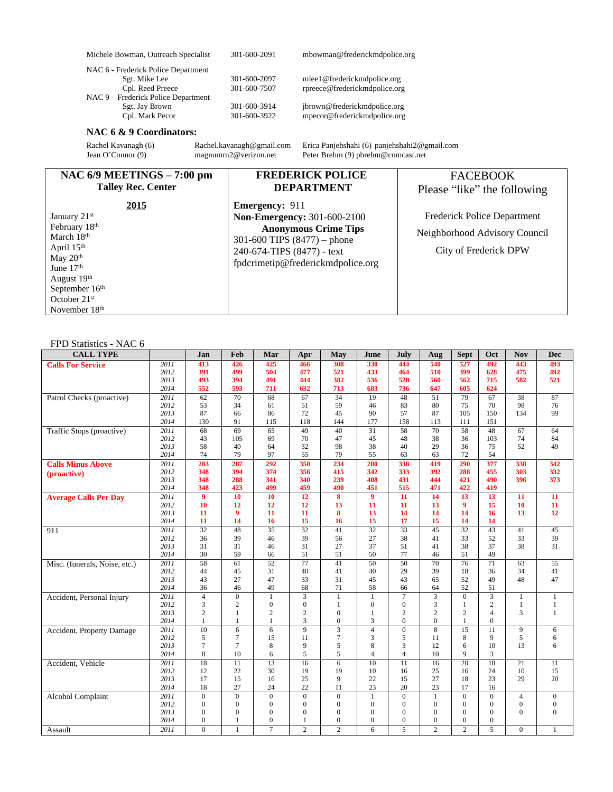| Michele Bowman, Outreach Specialist                                                                                                                                                                                                                                                                                                      | 301-600-2091                                                                                                       | mbowman@frederickmdpolice.org                                                                                                                                                                                      |                                                                                                                                         |
|------------------------------------------------------------------------------------------------------------------------------------------------------------------------------------------------------------------------------------------------------------------------------------------------------------------------------------------|--------------------------------------------------------------------------------------------------------------------|--------------------------------------------------------------------------------------------------------------------------------------------------------------------------------------------------------------------|-----------------------------------------------------------------------------------------------------------------------------------------|
| NAC 6 - Frederick Police Department<br>Sgt. Mike Lee<br>Cpl. Reed Preece<br>NAC 9 - Frederick Police Department<br>Sgt. Jay Brown<br>Cpl. Mark Pecor<br>NAC 6 & 9 Coordinators:<br>Rachel Kavanagh (6)<br>Jean O'Connor (9)                                                                                                              | 301-600-2097<br>301-600-7507<br>301-600-3914<br>301-600-3922<br>Rachel.kavanagh@gmail.com<br>magnumrn2@verizon.net | mlee1@frederickmdpolice.org<br>rpreece@frederickmdpolice.org<br>jbrown@frederickmdpolice.org<br>mpecor@frederickmdpolice.org<br>Erica Panjehshahi (6) panjehshahi2@gmail.com<br>Peter Brehm (9) pbrehm@comcast.net |                                                                                                                                         |
| NAC $6/9$ MEETINGS $-7:00$ pm<br><b>Talley Rec. Center</b><br>2015<br>January 21 <sup>st</sup><br>February 18 <sup>th</sup><br>March 18 <sup>th</sup><br>April 15 <sup>th</sup><br>May 20 <sup>th</sup><br>June 17 <sup>th</sup><br>August 19 <sup>th</sup><br>September 16 <sup>th</sup><br>October $21st$<br>November 18 <sup>th</sup> | <b>Emergency: 911</b><br>301-600 TIPS $(8477)$ – phone<br>240-674-TIPS (8477) - text                               | <b>FREDERICK POLICE</b><br><b>DEPARTMENT</b><br>Non-Emergency: 301-600-2100<br><b>Anonymous Crime Tips</b><br>fpdcrimetip@frederickmdpolice.org                                                                    | <b>FACEBOOK</b><br>Please "like" the following<br>Frederick Police Department<br>Neighborhood Advisory Council<br>City of Frederick DPW |

#### FPD Statistics - NAC 6

| <b>CALL TYPE</b>              |              | Jan             | Feb                 | Mar             | Apr                 | May                              | June             | July                | Aug                  | <b>Sept</b>          | Oct             | <b>Nov</b>     | <b>Dec</b>      |
|-------------------------------|--------------|-----------------|---------------------|-----------------|---------------------|----------------------------------|------------------|---------------------|----------------------|----------------------|-----------------|----------------|-----------------|
| <b>Calls For Service</b>      | 2011         | 413             | 426                 | 425             | 466                 | 308                              | 330              | 444                 | 540                  | 527                  | 492             | 443            | 493             |
|                               | 2012         | 391             | 499                 | 504             | 477                 | 521                              | 433              | 464                 | 510                  | 399                  | 628             | 475            | 492             |
|                               | 2013         | 493             | 394                 | 491             | 444                 | 382                              | 536              | 528                 | 560                  | 562                  | 715             | 582            | 521             |
|                               | 2014         | 552             | 593                 | 711             | 632                 | 713                              | 683              | 736                 | 647                  | 605                  | 624             |                |                 |
| Patrol Checks (proactive)     | 2011         | $\overline{62}$ | 70                  | 68              | 67                  | $\overline{34}$                  | 19               | 48                  | 51                   | 79                   | 67              | 38             | 87              |
|                               | 2012         | 53              | 34                  | 61              | 51                  | 59                               | 46               | 83                  | 80                   | 75                   | 70              | 98             | 76              |
|                               | 2013         | 87              | 66                  | 86              | 72                  | 45                               | 90               | 57                  | 87                   | 105                  | 150             | 134            | 99              |
|                               | 2014         | 130             | 91                  | 115             | 118                 | 144                              | 177              | 158                 | 113                  | 111                  | 151             |                |                 |
| Traffic Stops (proactive)     | 2011         | 68              | 69                  | 65              | 49                  | 40                               | 31               | 58                  | 70                   | 58                   | 48              | 67             | 64              |
|                               | 2012<br>2013 | 43<br>58        | 105<br>40           | 69              | 70<br>32            | 47<br>98                         | 45<br>38         | 48                  | 38<br>29             | 36<br>36             | 103<br>75       | 74             | 84<br>49        |
|                               | 2014         | 74              | 79                  | 64<br>97        | 55                  | 79                               | 55               | 40<br>63            | 63                   | 72                   | 54              | 52             |                 |
| <b>Calls Minus Above</b>      | 2011         | 283             | 287                 | 292             | 350                 | 234                              | 280              | 338                 | 419                  | 290                  | 377             | 338            | 342             |
|                               | 2012         | 348             | 394                 | 374             | 356                 | 415                              | 342              | 333                 | 392                  | 288                  | 455             | 303            | 332             |
| (proactive)                   | 2013         | 348             | 288                 | 341             | 340                 | 239                              | 408              | 431                 | 444                  | 421                  | 490             | 396            | 373             |
|                               | 2014         | 348             | 423                 | 499             | 459                 | 490                              | 451              | 515                 | 471                  | 422                  | 419             |                |                 |
| <b>Average Calls Per Day</b>  | 2011         | $\overline{9}$  | 10                  | 10              | 12                  | 8                                | $\boldsymbol{9}$ | 11                  | 14                   | 13                   | 13              | 11             | 11              |
|                               | 2012         | 10              | 12                  | 12              | 12                  | 13                               | 11               | 11                  | 13                   | 9                    | 15              | 10             | 11              |
|                               | 2013         | 11              | 9                   | 11              | 11                  | 8                                | 13               | 14                  | 14                   | 14                   | 16              | 13             | 12              |
|                               | 2014         | 11              | 14                  | 16              | 15                  | 16                               | 15               | 17                  | 15                   | 14                   | 14              |                |                 |
| 911                           | 2011         | $\overline{32}$ | 48                  | $\overline{35}$ | $\overline{32}$     | 41                               | $\overline{32}$  | $\overline{33}$     | 45                   | $\overline{32}$      | $\overline{43}$ | 41             | 45              |
|                               | 2012         | 36              | 39                  | 46              | 39                  | 56                               | 27               | 38                  | 41                   | 33                   | 52              | 33             | 39              |
|                               | 2013         | 31              | 31                  | 46              | 31                  | 27                               | 37               | 51                  | 41                   | 38                   | 37              | 38             | 31              |
|                               | 2014         | 30              | 59                  | 66              | 51                  | 51                               | 50               | 77                  | 46                   | 51                   | 49              |                |                 |
| Misc. (funerals, Noise, etc.) | 2011         | 58              | 61                  | 52              | $\overline{77}$     | 41                               | 50               | 50                  | 70                   | $\overline{76}$      | $\overline{71}$ | 63             | $\overline{55}$ |
|                               | 2012         | 44              | 45                  | 31              | 40                  | 41                               | 40               | 29                  | 39                   | 18                   | 36              | 34             | 41              |
|                               | 2013         | 43              | 27                  | 47              | 33                  | 31                               | 45               | 43                  | 65                   | 52                   | 49              | 48             | 47              |
|                               | 2014         | 36              | 46                  | 49              | 68                  | 71                               | 58               | 66                  | 64                   | 52                   | 51              |                |                 |
| Accident, Personal Injury     | 2011         | $\overline{4}$  | $\theta$            | $\mathbf{1}$    | 3                   | $\mathbf{1}$                     | $\mathbf{1}$     | 7                   | 3                    | $\Omega$             | $\overline{3}$  | $\mathbf{1}$   | $\mathbf{1}$    |
|                               | 2012         | 3               | $\overline{c}$      | $\overline{0}$  | $\overline{0}$      | $\mathbf{1}$                     | $\overline{0}$   | $\overline{0}$      | 3                    | $\mathbf{1}$         | $\overline{c}$  | $\mathbf{1}$   | 1               |
|                               | 2013         | $\overline{c}$  | 1                   | 2               | $\overline{c}$      | $\overline{0}$                   | $\mathbf{1}$     | $\overline{c}$      | 2                    | $\mathbf{2}$         | $\overline{4}$  | 3              | 1               |
|                               | 2014         | 1               | 1                   | 1               | 3<br>$\overline{9}$ | $\mathbf{0}$                     | 3                | $\mathbf{0}$        | $\overline{0}$       | 1                    | $\mathbf{0}$    |                |                 |
| Accident, Property Damage     | 2011<br>2012 | 10              | 6<br>$\overline{7}$ | 6               | 11                  | $\overline{3}$<br>$\overline{7}$ | $\overline{4}$   | $\overline{0}$<br>5 | $\overline{8}$<br>11 | $\overline{15}$<br>8 | 11<br>9         | 9<br>5         | 6               |
|                               | 2013         | 5<br>7          | $\overline{7}$      | 15<br>8         | 9                   | 5                                | 3<br>8           | 3                   | 12                   | 6                    | 10              | 13             | 6<br>6          |
|                               | 2014         | 8               | 10                  | 6               | 5                   | 5                                | $\overline{4}$   | $\overline{4}$      | 10                   | 9                    | 3               |                |                 |
| Accident, Vehicle             | 2011         | 18              | $\overline{11}$     | 13              | 16                  | 6                                | 10               | 11                  | 16                   | $\overline{20}$      | 18              | 21             | 11              |
|                               | 2012         | 12              | 22                  | 30              | 19                  | 19                               | 10               | 16                  | 25                   | 16                   | 24              | 10             | 15              |
|                               | 2013         | 17              | 15                  | 16              | 25                  | 9                                | 22               | 15                  | 27                   | 18                   | 23              | 29             | 20              |
|                               | 2014         | 18              | 27                  | 24              | 22                  | 11                               | 23               | 20                  | 23                   | 17                   | 16              |                |                 |
| <b>Alcohol Complaint</b>      | 2011         | $\overline{0}$  | $\overline{0}$      | $\overline{0}$  | $\overline{0}$      | $\mathbf{0}$                     | $\mathbf{1}$     | $\overline{0}$      | $\mathbf{1}$         | $\mathbf{0}$         | $\Omega$        | $\overline{4}$ | $\mathbf{0}$    |
|                               | 2012         | $\mathbf{0}$    | $\mathbf{0}$        | $\mathbf{0}$    | $\mathbf{0}$        | $\mathbf{0}$                     | $\overline{0}$   | $\overline{0}$      | $\overline{0}$       | $\mathbf{0}$         | $\Omega$        | $\overline{0}$ | $\overline{0}$  |
|                               | 2013         | $\mathbf{0}$    | $\mathbf{0}$        | $\mathbf{0}$    | $\mathbf{0}$        | $\mathbf{0}$                     | $\mathbf{0}$     | $\mathbf{0}$        | $\overline{0}$       | $\mathbf{0}$         | $\mathbf{0}$    | $\Omega$       | $\overline{0}$  |
|                               | 2014         | $\overline{0}$  | 1                   | $\mathbf{0}$    | 1                   | $\mathbf{0}$                     | $\overline{0}$   | $\mathbf{0}$        | $\Omega$             | $\mathbf{0}$         | $\Omega$        |                |                 |
| Assault                       | 2011         | $\Omega$        | 1                   | $\overline{7}$  | $\overline{2}$      | $\overline{c}$                   | 6                | 5                   | $\overline{2}$       | $\overline{c}$       | 5               | $\overline{0}$ | $\mathbf{1}$    |
|                               |              |                 |                     |                 |                     |                                  |                  |                     |                      |                      |                 |                |                 |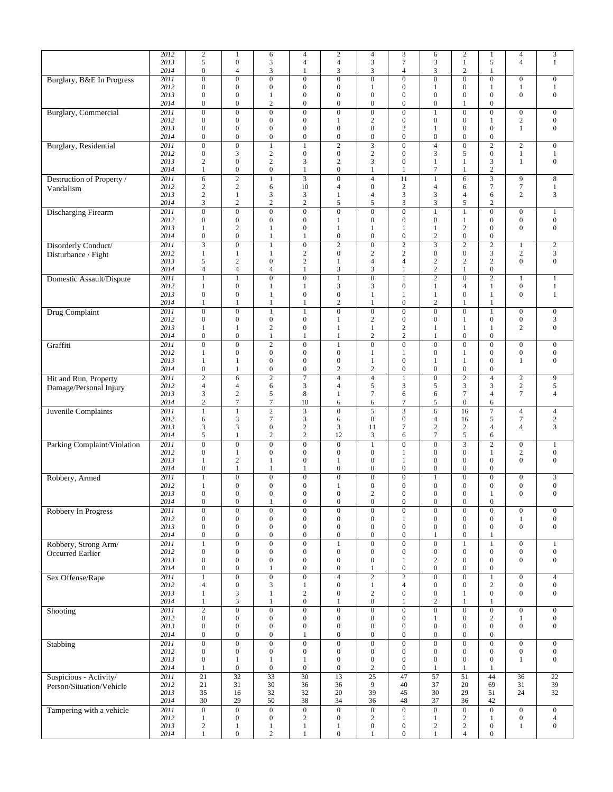|                               | 2012         | $\sqrt{2}$                         | $\mathbf{1}$                         | 6                                         | $\overline{4}$                       | $\sqrt{2}$                              | $\overline{4}$                       | 3                                  | 6                                  | $\overline{c}$                          | 1                                    | $\overline{4}$   | $\overline{3}$   |
|-------------------------------|--------------|------------------------------------|--------------------------------------|-------------------------------------------|--------------------------------------|-----------------------------------------|--------------------------------------|------------------------------------|------------------------------------|-----------------------------------------|--------------------------------------|------------------|------------------|
|                               | 2013<br>2014 | 5<br>$\boldsymbol{0}$              | $\boldsymbol{0}$<br>$\overline{4}$   | 3<br>3                                    | $\overline{4}$<br>1                  | $\overline{4}$<br>3                     | 3<br>3                               | 7<br>4                             | 3<br>3                             | $\mathbf{1}$<br>$\overline{\mathbf{c}}$ | 5<br>1                               | $\overline{4}$   | 1                |
| Burglary, B&E In Progress     | 2011         | $\boldsymbol{0}$                   | $\boldsymbol{0}$                     | $\boldsymbol{0}$                          | $\overline{0}$                       | $\boldsymbol{0}$                        | $\boldsymbol{0}$                     | $\overline{0}$                     | $\boldsymbol{0}$                   | $\overline{0}$                          | $\mathbf{0}$                         | $\boldsymbol{0}$ | $\boldsymbol{0}$ |
|                               | 2012         | $\boldsymbol{0}$                   | $\boldsymbol{0}$                     | $\boldsymbol{0}$                          | $\boldsymbol{0}$                     | $\boldsymbol{0}$                        | $\mathbf{1}$                         | $\mathbf 0$                        | 1                                  | $\boldsymbol{0}$                        | 1                                    | $\mathbf{1}$     | $\mathbf{1}$     |
|                               | 2013<br>2014 | $\boldsymbol{0}$<br>$\mathbf{0}$   | $\boldsymbol{0}$<br>$\boldsymbol{0}$ | 1<br>$\overline{c}$                       | $\boldsymbol{0}$<br>$\overline{0}$   | $\boldsymbol{0}$<br>$\overline{0}$      | $\boldsymbol{0}$<br>$\boldsymbol{0}$ | 0<br>$\overline{0}$                | $\boldsymbol{0}$<br>$\mathbf{0}$   | $\boldsymbol{0}$<br>1                   | $\boldsymbol{0}$<br>$\mathbf{0}$     | $\mathbf{0}$     | $\boldsymbol{0}$ |
| <b>Burglary</b> , Commercial  | 2011         | $\boldsymbol{0}$                   | $\overline{0}$                       | $\boldsymbol{0}$                          | $\overline{0}$                       | $\boldsymbol{0}$                        | $\overline{0}$                       | $\boldsymbol{0}$                   | $\mathbf{1}$                       | $\boldsymbol{0}$                        | $\boldsymbol{0}$                     | $\boldsymbol{0}$ | $\boldsymbol{0}$ |
|                               | 2012         | $\mathbf{0}$                       | $\boldsymbol{0}$                     | $\boldsymbol{0}$                          | $\boldsymbol{0}$                     | 1                                       | $\sqrt{2}$                           | $\boldsymbol{0}$                   | $\boldsymbol{0}$                   | $\boldsymbol{0}$                        | 1                                    | $\sqrt{2}$       | $\boldsymbol{0}$ |
|                               | 2013<br>2014 | $\boldsymbol{0}$<br>$\mathbf{0}$   | $\boldsymbol{0}$<br>$\boldsymbol{0}$ | $\boldsymbol{0}$<br>$\boldsymbol{0}$      | $\boldsymbol{0}$<br>$\boldsymbol{0}$ | $\overline{0}$<br>$\boldsymbol{0}$      | $\boldsymbol{0}$<br>$\boldsymbol{0}$ | 2<br>$\boldsymbol{0}$              | $\mathbf{1}$<br>$\boldsymbol{0}$   | $\mathbf{0}$<br>$\overline{0}$          | $\mathbf{0}$<br>$\boldsymbol{0}$     | 1                | $\boldsymbol{0}$ |
| <b>Burglary</b> , Residential | 2011         | $\overline{0}$                     | $\overline{0}$                       | $\mathbf{1}$                              | 1                                    | $\overline{2}$                          | $\overline{3}$                       | $\boldsymbol{0}$                   | $\overline{4}$                     | $\overline{0}$                          | $\overline{c}$                       | $\sqrt{2}$       | $\boldsymbol{0}$ |
|                               | 2012         | $\boldsymbol{0}$                   | 3                                    | $\sqrt{2}$                                | $\boldsymbol{0}$                     | $\boldsymbol{0}$                        | $\sqrt{2}$                           | $\overline{0}$                     | 3                                  | 5                                       | $\boldsymbol{0}$                     | $\mathbf{1}$     | 1                |
|                               | 2013<br>2014 | $\overline{c}$<br>1                | $\boldsymbol{0}$<br>$\mathbf{0}$     | $\mathfrak{2}$<br>$\boldsymbol{0}$        | 3<br>$\mathbf{1}$                    | $\overline{c}$<br>$\boldsymbol{0}$      | 3<br>$\mathbf{1}$                    | $\boldsymbol{0}$<br>1              | $\mathbf{1}$<br>$\tau$             | $\mathbf{1}$<br>1                       | 3<br>$\mathbf{2}$                    | $\mathbf{1}$     | $\boldsymbol{0}$ |
| Destruction of Property /     | 2011         | 6                                  | $\overline{2}$                       | $\mathbf{1}$                              | $\overline{\mathbf{3}}$              | $\overline{0}$                          | $\overline{4}$                       | 11                                 | $\mathbf{1}$                       | 6                                       | $\overline{3}$                       | $\overline{9}$   | $\,8\,$          |
| Vandalism                     | 2012         | $\boldsymbol{2}$                   | $\sqrt{2}$                           | 6                                         | 10                                   | $\overline{4}$                          | $\boldsymbol{0}$                     | $\overline{c}$                     | $\overline{4}$                     | 6                                       | 7                                    | $\overline{7}$   | 1                |
|                               | 2013<br>2014 | $\mathbf{2}$<br>$\mathfrak{Z}$     | 1<br>$\overline{c}$                  | 3<br>$\sqrt{2}$                           | 3<br>$\mathbf{2}$                    | $\mathbf{1}$<br>5                       | $\overline{4}$<br>5                  | 3<br>3                             | 3<br>3                             | $\overline{4}$<br>5                     | 6<br>2                               | $\mathbf{2}$     | 3                |
| <b>Discharging Firearm</b>    | 2011         | $\boldsymbol{0}$                   | $\mathbf{0}$                         | $\boldsymbol{0}$                          | $\mathbf{0}$                         | $\mathbf{0}$                            | $\mathbf{0}$                         | $\boldsymbol{0}$                   | $\mathbf{1}$                       | $\mathbf{1}$                            | $\boldsymbol{0}$                     | $\boldsymbol{0}$ | $\mathbf{1}$     |
|                               | 2012         | $\boldsymbol{0}$                   | $\boldsymbol{0}$                     | $\boldsymbol{0}$                          | $\boldsymbol{0}$                     | 1                                       | $\boldsymbol{0}$                     | $\overline{0}$                     | $\boldsymbol{0}$                   | $\mathbf{1}$                            | $\boldsymbol{0}$                     | $\boldsymbol{0}$ | $\boldsymbol{0}$ |
|                               | 2013<br>2014 | 1<br>$\boldsymbol{0}$              | $\sqrt{2}$<br>$\boldsymbol{0}$       | 1<br>$\mathbf{1}$                         | $\overline{0}$<br>1                  | $\mathbf{1}$<br>$\boldsymbol{0}$        | $\mathbf{1}$<br>$\boldsymbol{0}$     | $\mathbf{1}$<br>$\boldsymbol{0}$   | $\mathbf{1}$<br>$\overline{c}$     | $\overline{c}$<br>$\boldsymbol{0}$      | $\boldsymbol{0}$<br>$\boldsymbol{0}$ | $\mathbf{0}$     | $\mathbf{0}$     |
| Disorderly Conduct/           | 2011         | $\overline{\mathbf{3}}$            | $\overline{0}$                       | $\mathbf{1}$                              | $\overline{0}$                       | $\overline{2}$                          | $\overline{0}$                       | $\overline{2}$                     |                                    | $\overline{2}$                          | $\overline{2}$                       | 1                | 2                |
| Disturbance / Fight           | 2012         | 1                                  | $\mathbf{1}$                         | $\mathbf{1}$                              | $\sqrt{2}$                           | $\boldsymbol{0}$                        | $\sqrt{2}$                           | $\sqrt{2}$                         | $\boldsymbol{0}$                   | $\boldsymbol{0}$                        | 3                                    | $\sqrt{2}$       | 3                |
|                               | 2013<br>2014 | 5<br>4                             | $\overline{c}$<br>$\overline{4}$     | $\boldsymbol{0}$<br>$\overline{4}$        | $\overline{c}$<br>$\mathbf{1}$       | 1<br>3                                  | $\overline{4}$<br>3                  | $\overline{4}$<br>1                | $\sqrt{2}$<br>$\mathbf{2}$         | $\overline{c}$<br>$\mathbf{1}$          | $\mathbf{2}$<br>$\mathbf{0}$         | $\mathbf{0}$     | $\boldsymbol{0}$ |
| Domestic Assault/Dispute      | 2011         | 1                                  | $\mathbf{1}$                         | $\boldsymbol{0}$                          | $\mathbf{0}$                         | 1                                       | $\boldsymbol{0}$                     | $\mathbf{1}$                       | $\mathbf{2}$                       | $\boldsymbol{0}$                        | $\overline{c}$                       | 1                | $\mathbf{1}$     |
|                               | 2012         | 1                                  | $\boldsymbol{0}$                     | 1                                         | $\mathbf{1}$                         | 3                                       | 3                                    | $\boldsymbol{0}$                   | $\mathbf{1}$                       | $\overline{4}$                          | 1                                    | $\boldsymbol{0}$ | $\mathbf{1}$     |
|                               | 2013<br>2014 | $\boldsymbol{0}$<br>1              | $\boldsymbol{0}$<br>1                | 1<br>1                                    | $\boldsymbol{0}$<br>1                | $\boldsymbol{0}$<br>2                   | $\mathbf{1}$<br>$\mathbf{1}$         | 1<br>$\overline{0}$                | $\mathbf{1}$<br>$\mathbf{2}$       | $\boldsymbol{0}$<br>1                   | 1<br>1                               | $\mathbf{0}$     | 1                |
| Drug Complaint                | 2011         | $\boldsymbol{0}$                   | $\boldsymbol{0}$                     | $\mathbf{1}$                              | $\mathbf{1}$                         | $\boldsymbol{0}$                        | $\boldsymbol{0}$                     | $\overline{0}$                     | $\boldsymbol{0}$                   | $\mathbf{0}$                            | $\mathbf{1}$                         | $\boldsymbol{0}$ | $\mathbf{0}$     |
|                               | 2012         | $\mathbf{0}$                       | $\mathbf{0}$                         | $\boldsymbol{0}$                          | $\boldsymbol{0}$                     | 1                                       | $\overline{c}$                       | $\boldsymbol{0}$                   | $\boldsymbol{0}$                   | 1                                       | $\overline{0}$                       | $\boldsymbol{0}$ | $\mathfrak{Z}$   |
|                               | 2013<br>2014 | 1<br>$\boldsymbol{0}$              | 1<br>$\boldsymbol{0}$                | 2<br>$\mathbf{1}$                         | $\boldsymbol{0}$<br>$\mathbf{1}$     | 1<br>1                                  | $\mathbf{1}$<br>$\sqrt{2}$           | $\mathfrak{2}$<br>$\sqrt{2}$       | 1<br>$\mathbf{1}$                  | 1<br>$\overline{0}$                     | 1<br>$\boldsymbol{0}$                | $\mathfrak{2}$   | $\mathbf{0}$     |
| Graffiti                      | 2011         | $\mathbf{0}$                       | $\overline{0}$                       | $\overline{c}$                            | $\overline{0}$                       | $\mathbf{1}$                            | $\overline{0}$                       | $\overline{0}$                     | $\boldsymbol{0}$                   | $\mathbf{0}$                            | $\boldsymbol{0}$                     | $\boldsymbol{0}$ | $\mathbf{0}$     |
|                               | 2012         | 1                                  | $\boldsymbol{0}$                     | $\boldsymbol{0}$                          | $\boldsymbol{0}$                     | $\boldsymbol{0}$                        | 1                                    | 1                                  | $\boldsymbol{0}$                   | 1                                       | $\boldsymbol{0}$                     | $\boldsymbol{0}$ | $\boldsymbol{0}$ |
|                               | 2013<br>2014 | $\mathbf{1}$<br>$\boldsymbol{0}$   | $\mathbf{1}$<br>1                    | $\boldsymbol{0}$<br>$\boldsymbol{0}$      | $\overline{0}$<br>$\boldsymbol{0}$   | $\mathbf{0}$<br>$\overline{\mathbf{c}}$ | $\mathbf{1}$<br>$\sqrt{2}$           | $\mathbf{0}$<br>$\overline{0}$     | $\mathbf{1}$<br>$\boldsymbol{0}$   | $\mathbf{1}$<br>$\overline{0}$          | $\mathbf{0}$<br>$\boldsymbol{0}$     | 1                | $\mathbf{0}$     |
| Hit and Run, Property         | 2011         | $\overline{2}$                     | 6                                    | $\overline{2}$                            | $\overline{\tau}$                    | $\overline{4}$                          | $\overline{4}$                       | $\mathbf{1}$                       | $\overline{0}$                     | $\overline{2}$                          | $\overline{4}$                       | $\overline{2}$   | $\overline{9}$   |
| Damage/Personal Injury        | 2012         | $\overline{4}$                     | $\overline{4}$                       | 6                                         | 3                                    | $\overline{4}$                          | 5                                    | 3                                  | 5                                  | 3                                       | 3                                    | $\sqrt{2}$       | $\mathfrak{S}$   |
|                               | 2013<br>2014 | 3                                  | $\overline{c}$<br>$\tau$             | 5<br>$\tau$                               | 8<br>10                              | 1                                       | $\tau$                               | 6                                  | 6                                  | $\overline{7}$<br>$\boldsymbol{0}$      | 4                                    | $\tau$           | $\overline{4}$   |
| <b>Juvenile Complaints</b>    | 2011         | $\sqrt{2}$<br>$\mathbf{1}$         | $\mathbf{1}$                         | $\overline{2}$                            | 3                                    | 6<br>$\overline{0}$                     | 6<br>5                               | 7<br>3                             | $\sqrt{5}$<br>$\sqrt{6}$           | 16                                      | 6<br>$\overline{7}$                  | $\overline{4}$   | $\overline{4}$   |
|                               | 2012         | 6                                  | 3                                    | 7                                         | 3                                    | 6                                       | $\boldsymbol{0}$                     | $\boldsymbol{0}$                   | $\overline{4}$                     | 16                                      | 5                                    | 7                | $\overline{c}$   |
|                               | 2013         | 3                                  | 3                                    | $\boldsymbol{0}$                          | $\sqrt{2}$<br>$\overline{c}$         | 3<br>12                                 | 11                                   | 7                                  | $\mathbf{2}$                       | $\overline{c}$                          | $\overline{4}$                       | $\overline{4}$   | 3                |
| Parking Complaint/Violation   | 2014<br>2011 | 5<br>$\overline{0}$                | 1<br>$\overline{0}$                  | $\overline{\mathbf{c}}$<br>$\overline{0}$ | $\overline{0}$                       | $\boldsymbol{0}$                        | 3<br>$\mathbf{1}$                    | 6<br>$\overline{0}$                | $\boldsymbol{7}$<br>$\overline{0}$ | 5<br>$\overline{3}$                     | 6<br>$\overline{2}$                  | $\boldsymbol{0}$ | $\mathbf{1}$     |
|                               | 2012         | $\boldsymbol{0}$                   | $\mathbf{1}$                         | $\boldsymbol{0}$                          | $\boldsymbol{0}$                     | $\boldsymbol{0}$                        | $\boldsymbol{0}$                     | $\mathbf{1}$                       | $\boldsymbol{0}$                   | $\boldsymbol{0}$                        | $\mathbf{1}$                         | $\mathbf{2}$     | $\boldsymbol{0}$ |
|                               | 2013         | 1                                  | $\boldsymbol{2}$                     | 1                                         | $\boldsymbol{0}$                     | 1                                       | $\boldsymbol{0}$                     | 1                                  | $\boldsymbol{0}$                   | $\boldsymbol{0}$                        | $\boldsymbol{0}$                     | $\boldsymbol{0}$ | $\boldsymbol{0}$ |
| Robbery, Armed                | 2014<br>2011 | $\mathbf{0}$<br>1                  | 1<br>$\overline{0}$                  | 1<br>$\boldsymbol{0}$                     | 1<br>$\overline{0}$                  | $\boldsymbol{0}$<br>$\boldsymbol{0}$    | $\boldsymbol{0}$<br>$\boldsymbol{0}$ | $\boldsymbol{0}$<br>$\overline{0}$ | $\boldsymbol{0}$<br>$\mathbf{1}$   | $\boldsymbol{0}$<br>$\mathbf{0}$        | $\boldsymbol{0}$<br>$\overline{0}$   | $\boldsymbol{0}$ | 3                |
|                               | 2012         | 1                                  | $\boldsymbol{0}$                     | $\boldsymbol{0}$                          | $\boldsymbol{0}$                     | 1                                       | $\boldsymbol{0}$                     | 0                                  | $\boldsymbol{0}$                   | $\boldsymbol{0}$                        | $\overline{0}$                       | $\mathbf{0}$     | $\mathbf{0}$     |
|                               | 2013         | $\Omega$                           | $\theta$                             | $\theta$                                  | $\theta$                             | $\theta$                                | $\overline{2}$                       | $\Omega$                           | $\Omega$                           | $\theta$                                | 1                                    | $\overline{0}$   | $\Omega$         |
| Robbery In Progress           | 2014<br>2011 | $\mathbf{0}$<br>$\overline{0}$     | $\boldsymbol{0}$<br>$\overline{0}$   | $\mathbf{1}$<br>$\boldsymbol{0}$          | $\boldsymbol{0}$<br>$\overline{0}$   | $\boldsymbol{0}$<br>$\overline{0}$      | $\boldsymbol{0}$<br>$\overline{0}$   | $\boldsymbol{0}$<br>$\overline{0}$ | $\boldsymbol{0}$<br>$\overline{0}$ | $\boldsymbol{0}$<br>$\overline{0}$      | $\boldsymbol{0}$<br>$\overline{0}$   | $\boldsymbol{0}$ | $\boldsymbol{0}$ |
|                               | 2012         | $\boldsymbol{0}$                   | $\boldsymbol{0}$                     | $\boldsymbol{0}$                          | $\boldsymbol{0}$                     | $\boldsymbol{0}$                        | $\boldsymbol{0}$                     | $\mathbf{1}$                       | $\boldsymbol{0}$                   | $\boldsymbol{0}$                        | $\boldsymbol{0}$                     | $\mathbf{1}$     | $\boldsymbol{0}$ |
|                               | 2013         | $\boldsymbol{0}$                   | $\boldsymbol{0}$                     | $\boldsymbol{0}$                          | $\boldsymbol{0}$                     | $\boldsymbol{0}$                        | $\boldsymbol{0}$                     | $\boldsymbol{0}$                   | $\boldsymbol{0}$                   | $\boldsymbol{0}$                        | $\boldsymbol{0}$                     | $\boldsymbol{0}$ | $\boldsymbol{0}$ |
| Robbery, Strong Arm/          | 2014<br>2011 | $\boldsymbol{0}$<br>$\mathbf{1}$   | $\boldsymbol{0}$<br>$\overline{0}$   | $\boldsymbol{0}$<br>$\boldsymbol{0}$      | $\boldsymbol{0}$<br>$\overline{0}$   | $\boldsymbol{0}$<br>1                   | $\boldsymbol{0}$<br>$\overline{0}$   | $\boldsymbol{0}$<br>$\overline{0}$ | $\mathbf{1}$<br>$\boldsymbol{0}$   | $\boldsymbol{0}$<br>$\mathbf{1}$        | 1<br>$\mathbf{1}$                    | $\boldsymbol{0}$ | $\mathbf{1}$     |
| Occurred Earlier              | 2012         | $\boldsymbol{0}$                   | $\boldsymbol{0}$                     | $\boldsymbol{0}$                          | $\boldsymbol{0}$                     | $\boldsymbol{0}$                        | $\boldsymbol{0}$                     | $\boldsymbol{0}$                   | $\boldsymbol{0}$                   | $\boldsymbol{0}$                        | $\boldsymbol{0}$                     | $\boldsymbol{0}$ | $\boldsymbol{0}$ |
|                               | 2013<br>2014 | $\boldsymbol{0}$<br>$\mathbf{0}$   | $\boldsymbol{0}$<br>$\boldsymbol{0}$ | $\boldsymbol{0}$<br>$\mathbf{1}$          | $\boldsymbol{0}$<br>$\boldsymbol{0}$ | $\boldsymbol{0}$<br>$\boldsymbol{0}$    | $\boldsymbol{0}$<br>$\mathbf{1}$     | $\mathbf{1}$<br>$\boldsymbol{0}$   | $\mathbf{2}$<br>$\boldsymbol{0}$   | $\boldsymbol{0}$<br>$\mathbf{0}$        | $\mathbf{0}$<br>$\mathbf{0}$         | $\boldsymbol{0}$ | $\boldsymbol{0}$ |
| Sex Offense/Rape              | 2011         | $\mathbf{1}$                       | $\overline{0}$                       | $\boldsymbol{0}$                          | $\overline{0}$                       | $\overline{4}$                          | $\overline{2}$                       | $\overline{2}$                     | $\overline{0}$                     | $\overline{0}$                          | $\mathbf{1}$                         | $\mathbf{0}$     | $\overline{4}$   |
|                               | 2012         | $\overline{4}$                     | $\boldsymbol{0}$                     | 3                                         | $\mathbf{1}$                         | $\boldsymbol{0}$                        | $\mathbf{1}$                         | 4                                  | $\boldsymbol{0}$                   | $\boldsymbol{0}$                        | $\sqrt{2}$                           | $\boldsymbol{0}$ | $\boldsymbol{0}$ |
|                               | 2013         | $\mathbf{1}$                       | 3                                    | $\mathbf{1}$                              | $\sqrt{2}$                           | $\boldsymbol{0}$                        | $\sqrt{2}$                           | $\boldsymbol{0}$                   | $\boldsymbol{0}$                   | 1                                       | $\mathbf{0}$                         | $\mathbf{0}$     | $\boldsymbol{0}$ |
| Shooting                      | 2014<br>2011 | $\mathbf{1}$<br>$\overline{2}$     | 3<br>$\overline{0}$                  | $\mathbf{1}$<br>$\boldsymbol{0}$          | $\boldsymbol{0}$<br>$\overline{0}$   | 1<br>$\boldsymbol{0}$                   | $\boldsymbol{0}$<br>$\overline{0}$   | $\mathbf{1}$<br>$\boldsymbol{0}$   | $\overline{c}$<br>$\boldsymbol{0}$ | 1<br>$\boldsymbol{0}$                   | $\mathbf{1}$<br>$\boldsymbol{0}$     | $\boldsymbol{0}$ | $\mathbf{0}$     |
|                               | 2012         | $\mathbf{0}$                       | $\boldsymbol{0}$                     | $\boldsymbol{0}$                          | $\boldsymbol{0}$                     | $\boldsymbol{0}$                        | $\boldsymbol{0}$                     | $\boldsymbol{0}$                   | $\mathbf{1}$                       | $\boldsymbol{0}$                        | $\sqrt{2}$                           | $\mathbf{1}$     | $\boldsymbol{0}$ |
|                               | 2013         | $\boldsymbol{0}$                   | $\boldsymbol{0}$                     | $\boldsymbol{0}$                          | $\boldsymbol{0}$                     | $\boldsymbol{0}$                        | $\boldsymbol{0}$                     | $\boldsymbol{0}$                   | $\boldsymbol{0}$                   | $\boldsymbol{0}$                        | $\boldsymbol{0}$                     | $\boldsymbol{0}$ | $\mathbf{0}$     |
| Stabbing                      | 2014<br>2011 | $\boldsymbol{0}$<br>$\overline{0}$ | $\boldsymbol{0}$<br>$\overline{0}$   | $\boldsymbol{0}$<br>$\overline{0}$        | $\mathbf{1}$<br>$\overline{0}$       | $\boldsymbol{0}$<br>$\overline{0}$      | $\boldsymbol{0}$<br>$\overline{0}$   | $\boldsymbol{0}$<br>$\overline{0}$ | $\boldsymbol{0}$<br>$\overline{0}$ | $\boldsymbol{0}$<br>$\overline{0}$      | $\boldsymbol{0}$<br>$\overline{0}$   | $\boldsymbol{0}$ | $\boldsymbol{0}$ |
|                               | 2012         | $\boldsymbol{0}$                   | $\boldsymbol{0}$                     | $\boldsymbol{0}$                          | $\boldsymbol{0}$                     | $\boldsymbol{0}$                        | $\boldsymbol{0}$                     | $\boldsymbol{0}$                   | $\boldsymbol{0}$                   | $\boldsymbol{0}$                        | $\mathbf{0}$                         | $\boldsymbol{0}$ | $\boldsymbol{0}$ |
|                               | 2013         | $\boldsymbol{0}$                   | $\mathbf{1}$                         | $\mathbf{1}$                              | $\mathbf{1}$                         | $\boldsymbol{0}$                        | $\boldsymbol{0}$                     | $\boldsymbol{0}$                   | $\boldsymbol{0}$                   | $\boldsymbol{0}$                        | $\mathbf{0}$                         | 1                | $\boldsymbol{0}$ |
| Suspicious - Activity/        | 2014<br>2011 | 1<br>$\overline{21}$               | $\boldsymbol{0}$<br>$\overline{32}$  | $\boldsymbol{0}$<br>$\overline{33}$       | $\boldsymbol{0}$<br>$\overline{30}$  | $\boldsymbol{0}$<br>$\overline{13}$     | $\sqrt{2}$<br>$\overline{25}$        | $\boldsymbol{0}$<br>47             | $\mathbf{1}$<br>$\overline{57}$    | $\mathbf{1}$<br>$\overline{51}$         | 1<br>44                              | 36               | $\overline{22}$  |
| Person/Situation/Vehicle      | 2012         | $21\,$                             | 31                                   | 30                                        | 36                                   | 36                                      | 9                                    | 40                                 | 37                                 | 20                                      | 69                                   | 31               | 39               |
|                               | 2013         | 35                                 | 16                                   | 32                                        | 32                                   | 20                                      | 39                                   | 45                                 | 30                                 | 29                                      | 51                                   | 24               | 32               |
| Tampering with a vehicle      | 2014<br>2011 | 30<br>$\boldsymbol{0}$             | 29<br>$\overline{0}$                 | 50<br>$\boldsymbol{0}$                    | 38<br>$\boldsymbol{0}$               | 34<br>$\boldsymbol{0}$                  | 36<br>$\boldsymbol{0}$               | 48<br>$\boldsymbol{0}$             | 37<br>$\boldsymbol{0}$             | 36<br>$\boldsymbol{0}$                  | 42<br>$\mathbf{0}$                   | $\boldsymbol{0}$ | $\boldsymbol{0}$ |
|                               | 2012         | 1                                  | $\boldsymbol{0}$                     | $\boldsymbol{0}$                          | $\mathbf{2}$                         | $\boldsymbol{0}$                        | $\boldsymbol{2}$                     | 1                                  | $\mathbf{1}$                       | $\overline{c}$                          | $\mathbf{1}$                         | $\boldsymbol{0}$ | $\overline{4}$   |
|                               | 2013         | $\sqrt{2}$                         | $\mathbf{1}$                         | $\mathbf{1}$                              | $\mathbf{1}$                         | $\mathbf{1}$                            | $\boldsymbol{0}$                     | $\boldsymbol{0}$                   | $\sqrt{2}$                         | $\sqrt{2}$                              | $\boldsymbol{0}$                     | $\mathbf{1}$     | $\boldsymbol{0}$ |
|                               | 2014         | $\mathbf{1}$                       | $\boldsymbol{0}$                     | $\sqrt{2}$                                | $\mathbf{1}$                         | $\boldsymbol{0}$                        | $\mathbf{1}$                         | $\boldsymbol{0}$                   | $\mathbf{1}$                       | $\overline{4}$                          | $\boldsymbol{0}$                     |                  |                  |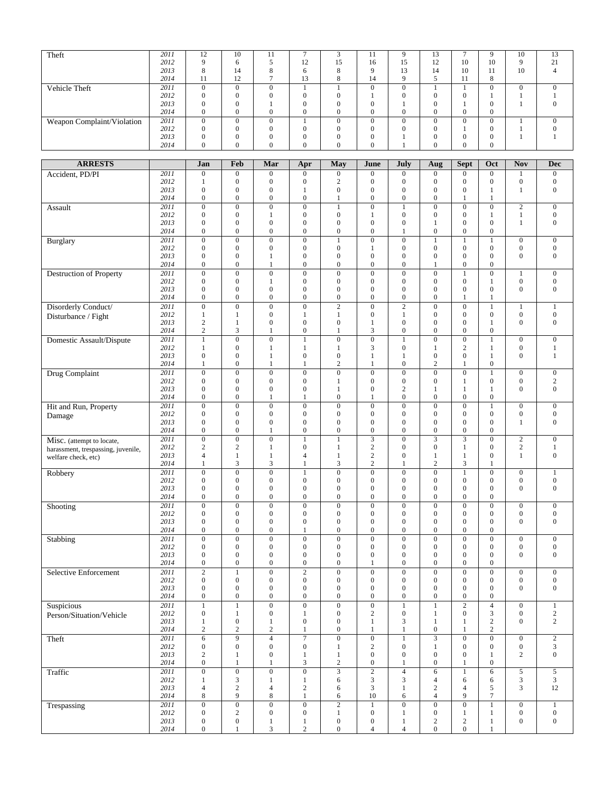| Theft                              | 2011 | 12               | 10               | 11               | 7                 | 3                       | 11               | 9                       | 13                      | $\tau$           | 9                | 10               | 13               |
|------------------------------------|------|------------------|------------------|------------------|-------------------|-------------------------|------------------|-------------------------|-------------------------|------------------|------------------|------------------|------------------|
|                                    |      |                  |                  |                  |                   |                         |                  |                         |                         |                  |                  |                  |                  |
|                                    | 2012 | 9                | 6                | 5                | 12                | 15                      | 16               | 15                      | 12                      | 10               | 10               | 9                | 21               |
|                                    | 2013 | 8                | 14               | 8                | 6                 | 8                       | 9                | 13                      | 14                      | 10               | 11               | 10               | $\overline{4}$   |
|                                    | 2014 | 11               | 12               | 7                | 13                | 8                       | 14               | 9                       | 5                       | 11               | 8                |                  |                  |
|                                    |      |                  |                  |                  |                   |                         |                  |                         |                         |                  |                  |                  |                  |
| Vehicle Theft                      | 2011 | $\mathbf{0}$     | $\overline{0}$   | $\overline{0}$   | $\mathbf{1}$      | $\mathbf{1}$            | $\mathbf{0}$     | $\overline{0}$          | $\mathbf{1}$            | $\mathbf{1}$     | $\overline{0}$   | $\boldsymbol{0}$ | $\mathbf{0}$     |
|                                    | 2012 | $\boldsymbol{0}$ | $\boldsymbol{0}$ | $\boldsymbol{0}$ | $\boldsymbol{0}$  | $\boldsymbol{0}$        | $\mathbf{1}$     | $\boldsymbol{0}$        | $\mathbf{0}$            | $\boldsymbol{0}$ | 1                | $\mathbf{1}$     | 1                |
|                                    |      |                  |                  |                  |                   |                         |                  |                         |                         |                  |                  |                  |                  |
|                                    | 2013 | $\mathbf{0}$     | $\boldsymbol{0}$ | $\mathbf{1}$     | $\mathbf{0}$      | $\mathbf{0}$            | $\boldsymbol{0}$ | $\mathbf{1}$            | $\mathbf{0}$            | $\mathbf{1}$     | $\mathbf{0}$     | $\mathbf{1}$     | $\mathbf{0}$     |
|                                    | 2014 | $\boldsymbol{0}$ | $\boldsymbol{0}$ | $\boldsymbol{0}$ | $\mathbf{0}$      | $\boldsymbol{0}$        | $\mathbf{0}$     | $\mathbf{0}$            | $\mathbf{0}$            | $\mathbf{0}$     | $\mathbf{0}$     |                  |                  |
| Weapon Complaint/Violation         | 2011 | $\boldsymbol{0}$ | $\overline{0}$   | $\overline{0}$   | $\mathbf{1}$      | $\boldsymbol{0}$        | $\overline{0}$   | $\overline{0}$          | $\overline{0}$          | $\overline{0}$   | $\boldsymbol{0}$ | $\mathbf{1}$     | $\overline{0}$   |
|                                    |      |                  |                  |                  |                   |                         |                  |                         |                         |                  |                  |                  |                  |
|                                    | 2012 | $\boldsymbol{0}$ | $\boldsymbol{0}$ | $\boldsymbol{0}$ | $\boldsymbol{0}$  | $\boldsymbol{0}$        | $\boldsymbol{0}$ | $\boldsymbol{0}$        | $\mathbf{0}$            | 1                | $\boldsymbol{0}$ | $\mathbf{1}$     | $\boldsymbol{0}$ |
|                                    | 2013 | $\boldsymbol{0}$ | $\boldsymbol{0}$ | $\boldsymbol{0}$ | $\boldsymbol{0}$  | $\boldsymbol{0}$        | $\boldsymbol{0}$ | 1                       | $\mathbf{0}$            | $\boldsymbol{0}$ | $\boldsymbol{0}$ | $\mathbf{1}$     | $\mathbf{1}$     |
|                                    | 2014 | $\mathbf{0}$     | $\boldsymbol{0}$ | $\mathbf{0}$     | $\overline{0}$    | $\mathbf{0}$            | $\overline{0}$   | 1                       | $\boldsymbol{0}$        | $\mathbf{0}$     | $\mathbf{0}$     |                  |                  |
|                                    |      |                  |                  |                  |                   |                         |                  |                         |                         |                  |                  |                  |                  |
|                                    |      |                  |                  |                  |                   |                         |                  |                         |                         |                  |                  |                  |                  |
| <b>ARRESTS</b>                     |      | Jan              | Feb              | Mar              | Apr               | May                     | <b>June</b>      | July                    | Aug                     | <b>Sept</b>      | Oct              | <b>Nov</b>       | <b>Dec</b>       |
|                                    |      |                  |                  |                  |                   |                         |                  |                         |                         |                  |                  |                  |                  |
| Accident, PD/PI                    | 2011 | $\boldsymbol{0}$ | $\boldsymbol{0}$ | $\boldsymbol{0}$ | $\boldsymbol{0}$  | $\boldsymbol{0}$        | $\boldsymbol{0}$ | $\boldsymbol{0}$        | $\mathbf{0}$            | $\boldsymbol{0}$ | $\boldsymbol{0}$ | $\mathbf{1}$     | $\mathbf{0}$     |
|                                    | 2012 | 1                | $\boldsymbol{0}$ | $\boldsymbol{0}$ | $\boldsymbol{0}$  | $\overline{c}$          | $\boldsymbol{0}$ | $\boldsymbol{0}$        | $\mathbf{0}$            | $\boldsymbol{0}$ | $\boldsymbol{0}$ | $\boldsymbol{0}$ | $\mathbf{0}$     |
|                                    | 2013 | $\boldsymbol{0}$ | $\boldsymbol{0}$ | $\mathbf{0}$     | 1                 | $\boldsymbol{0}$        | $\boldsymbol{0}$ | $\overline{0}$          | $\boldsymbol{0}$        | $\overline{0}$   | 1                | $\mathbf{1}$     | $\mathbf{0}$     |
|                                    |      |                  |                  |                  |                   |                         |                  |                         |                         |                  |                  |                  |                  |
|                                    | 2014 | $\boldsymbol{0}$ | $\boldsymbol{0}$ | $\boldsymbol{0}$ | $\boldsymbol{0}$  | 1                       | $\boldsymbol{0}$ | $\boldsymbol{0}$        | $\mathbf{0}$            | 1                | 1                |                  |                  |
| Assault                            | 2011 | $\boldsymbol{0}$ | $\overline{0}$   | $\boldsymbol{0}$ | $\overline{0}$    | $\mathbf{1}$            | $\boldsymbol{0}$ | $\mathbf{1}$            | $\boldsymbol{0}$        | $\boldsymbol{0}$ | $\boldsymbol{0}$ | $\overline{c}$   | $\boldsymbol{0}$ |
|                                    | 2012 | $\boldsymbol{0}$ | $\boldsymbol{0}$ | $\mathbf{1}$     | $\boldsymbol{0}$  | $\boldsymbol{0}$        | $\mathbf{1}$     | $\boldsymbol{0}$        | $\mathbf{0}$            | $\overline{0}$   | 1                | $\mathbf{1}$     | $\boldsymbol{0}$ |
|                                    |      |                  |                  |                  |                   |                         |                  |                         |                         |                  |                  |                  |                  |
|                                    | 2013 | $\overline{0}$   | $\overline{0}$   | $\boldsymbol{0}$ | $\overline{0}$    | $\overline{0}$          | $\boldsymbol{0}$ | $\mathbf{0}$            | 1                       | $\overline{0}$   | $\mathbf{0}$     | $\mathbf{1}$     | $\boldsymbol{0}$ |
|                                    | 2014 | $\mathbf{0}$     | $\boldsymbol{0}$ | $\boldsymbol{0}$ | $\mathbf{0}$      | $\boldsymbol{0}$        | $\boldsymbol{0}$ | $\mathbf{1}$            | $\mathbf{0}$            | $\mathbf{0}$     | $\boldsymbol{0}$ |                  |                  |
|                                    | 2011 | $\boldsymbol{0}$ | $\boldsymbol{0}$ | $\boldsymbol{0}$ | $\boldsymbol{0}$  | 1                       | $\boldsymbol{0}$ | $\boldsymbol{0}$        | $\mathbf{1}$            | $\mathbf{1}$     | 1                | $\boldsymbol{0}$ | $\mathbf{0}$     |
| Burglary                           |      |                  |                  |                  |                   |                         |                  |                         |                         |                  |                  |                  |                  |
|                                    | 2012 | $\boldsymbol{0}$ | $\boldsymbol{0}$ | $\boldsymbol{0}$ | $\overline{0}$    | $\boldsymbol{0}$        | 1                | $\boldsymbol{0}$        | $\mathbf{0}$            | $\mathbf{0}$     | $\mathbf{0}$     | $\boldsymbol{0}$ | $\mathbf{0}$     |
|                                    | 2013 | $\boldsymbol{0}$ | $\boldsymbol{0}$ | 1                | $\boldsymbol{0}$  | $\boldsymbol{0}$        | $\boldsymbol{0}$ | $\mathbf{0}$            | $\mathbf{0}$            | $\boldsymbol{0}$ | $\boldsymbol{0}$ | $\mathbf{0}$     | $\mathbf{0}$     |
|                                    | 2014 | $\mathbf{0}$     | $\mathbf{0}$     | $\mathbf{1}$     | $\mathbf{0}$      | $\mathbf{0}$            | $\overline{0}$   | $\overline{0}$          | $\mathbf{1}$            | $\mathbf{0}$     | $\mathbf{0}$     |                  |                  |
|                                    |      |                  |                  |                  |                   |                         |                  |                         |                         |                  |                  |                  |                  |
| Destruction of Property            | 2011 | $\boldsymbol{0}$ | $\overline{0}$   | $\boldsymbol{0}$ | $\overline{0}$    | $\overline{0}$          | $\boldsymbol{0}$ | $\overline{0}$          | $\boldsymbol{0}$        | $\mathbf{1}$     | $\overline{0}$   | $\mathbf{1}$     | $\mathbf{0}$     |
|                                    | 2012 | $\boldsymbol{0}$ | $\boldsymbol{0}$ | 1                | $\boldsymbol{0}$  | $\boldsymbol{0}$        | $\boldsymbol{0}$ | $\boldsymbol{0}$        | $\mathbf{0}$            | $\overline{0}$   | 1                | $\boldsymbol{0}$ | $\boldsymbol{0}$ |
|                                    | 2013 | $\boldsymbol{0}$ | $\boldsymbol{0}$ | $\boldsymbol{0}$ | $\boldsymbol{0}$  | $\boldsymbol{0}$        | $\boldsymbol{0}$ | $\mathbf{0}$            | $\boldsymbol{0}$        | $\mathbf{0}$     | $\mathbf{0}$     | $\mathbf{0}$     | $\boldsymbol{0}$ |
|                                    | 2014 | $\overline{0}$   | $\boldsymbol{0}$ | $\overline{0}$   | $\overline{0}$    | $\overline{0}$          | $\overline{0}$   | $\overline{0}$          | $\mathbf{0}$            | $\mathbf{1}$     | 1                |                  |                  |
|                                    |      |                  |                  |                  |                   |                         |                  |                         |                         |                  |                  |                  |                  |
| Disorderly Conduct/                | 2011 | $\boldsymbol{0}$ | $\overline{0}$   | $\boldsymbol{0}$ | $\overline{0}$    | $\sqrt{2}$              | $\boldsymbol{0}$ | $\overline{\mathbf{c}}$ | $\boldsymbol{0}$        | $\boldsymbol{0}$ | $\mathbf{1}$     | $\mathbf{1}$     | $\mathbf{1}$     |
|                                    | 2012 | $\mathbf{1}$     | 1                | $\boldsymbol{0}$ | 1                 | 1                       | $\boldsymbol{0}$ | 1                       | $\mathbf{0}$            | $\boldsymbol{0}$ | $\boldsymbol{0}$ | $\boldsymbol{0}$ | $\boldsymbol{0}$ |
| Disturbance / Fight                |      | $\overline{c}$   |                  |                  | $\overline{0}$    |                         |                  | $\overline{0}$          |                         | $\mathbf{0}$     |                  | $\mathbf{0}$     | $\mathbf{0}$     |
|                                    | 2013 |                  | $\mathbf{1}$     | $\boldsymbol{0}$ |                   | $\boldsymbol{0}$        | $\mathbf{1}$     |                         | $\mathbf{0}$            |                  | 1                |                  |                  |
|                                    | 2014 | $\sqrt{2}$       | 3                | 1                | $\overline{0}$    | 1                       | 3                | $\boldsymbol{0}$        | $\mathbf{0}$            | $\overline{0}$   | $\overline{0}$   |                  |                  |
| Domestic Assault/Dispute           | 2011 | $\mathbf{1}$     | $\overline{0}$   | $\overline{0}$   | 1                 | $\boldsymbol{0}$        | $\overline{0}$   | $\mathbf{1}$            | $\boldsymbol{0}$        | $\overline{0}$   | $\mathbf{1}$     | $\mathbf{0}$     | $\mathbf{0}$     |
|                                    |      |                  |                  |                  |                   |                         |                  |                         |                         |                  | 1                |                  |                  |
|                                    | 2012 | 1                | $\boldsymbol{0}$ | 1                | 1                 | 1                       | 3                | $\boldsymbol{0}$        | 1                       | $\mathfrak{2}$   |                  | $\mathbf{0}$     | $\mathbf{1}$     |
|                                    | 2013 | $\boldsymbol{0}$ | $\boldsymbol{0}$ | $\mathbf{1}$     | $\boldsymbol{0}$  | $\boldsymbol{0}$        | $\mathbf{1}$     | $\mathbf{1}$            | $\mathbf{0}$            | $\overline{0}$   | $\mathbf{1}$     | $\mathbf{0}$     | 1                |
|                                    | 2014 | 1                | $\boldsymbol{0}$ | 1                | 1                 | $\sqrt{2}$              | 1                | $\boldsymbol{0}$        | $\sqrt{2}$              | 1                | $\boldsymbol{0}$ |                  |                  |
|                                    |      |                  |                  |                  |                   |                         |                  | $\overline{0}$          |                         | $\overline{0}$   | $\mathbf{1}$     |                  |                  |
| Drug Complaint                     | 2011 | $\boldsymbol{0}$ | $\overline{0}$   | $\overline{0}$   | $\overline{0}$    | $\overline{0}$          | $\overline{0}$   |                         | $\overline{0}$          |                  |                  | $\overline{0}$   | $\overline{0}$   |
|                                    | 2012 | $\boldsymbol{0}$ | $\boldsymbol{0}$ | $\boldsymbol{0}$ | $\boldsymbol{0}$  | 1                       | $\boldsymbol{0}$ | $\boldsymbol{0}$        | $\mathbf{0}$            | 1                | $\boldsymbol{0}$ | $\boldsymbol{0}$ | $\overline{c}$   |
|                                    | 2013 | $\boldsymbol{0}$ | $\mathbf{0}$     | $\boldsymbol{0}$ | $\boldsymbol{0}$  | $\mathbf{1}$            | $\boldsymbol{0}$ | $\mathbf{2}$            | 1                       | 1                | 1                | $\mathbf{0}$     | $\mathbf{0}$     |
|                                    | 2014 | $\mathbf{0}$     | $\mathbf{0}$     |                  |                   | $\boldsymbol{0}$        |                  | $\boldsymbol{0}$        | $\boldsymbol{0}$        | $\overline{0}$   | $\boldsymbol{0}$ |                  |                  |
|                                    |      |                  |                  | 1                | 1                 |                         | 1                |                         |                         |                  |                  |                  |                  |
| Hit and Run, Property              | 2011 | $\boldsymbol{0}$ | $\overline{0}$   | $\boldsymbol{0}$ | $\mathbf{0}$      | $\boldsymbol{0}$        | $\boldsymbol{0}$ | $\overline{0}$          | $\overline{0}$          | $\overline{0}$   | $\mathbf{1}$     | $\mathbf{0}$     | $\overline{0}$   |
|                                    | 2012 | $\boldsymbol{0}$ | $\boldsymbol{0}$ | $\boldsymbol{0}$ | $\boldsymbol{0}$  | $\boldsymbol{0}$        | $\boldsymbol{0}$ | $\boldsymbol{0}$        | $\mathbf{0}$            | $\mathbf{0}$     | $\mathbf{0}$     | $\mathbf{0}$     | $\mathbf{0}$     |
| Damage                             |      |                  |                  |                  |                   |                         |                  |                         |                         | $\overline{0}$   |                  |                  |                  |
|                                    | 2013 | $\boldsymbol{0}$ | $\boldsymbol{0}$ | $\boldsymbol{0}$ | $\boldsymbol{0}$  | $\boldsymbol{0}$        | $\boldsymbol{0}$ | $\boldsymbol{0}$        | $\mathbf{0}$            |                  | $\mathbf{0}$     | $\mathbf{1}$     | $\mathbf{0}$     |
|                                    | 2014 | $\boldsymbol{0}$ | $\boldsymbol{0}$ | 1                | $\boldsymbol{0}$  | $\boldsymbol{0}$        | $\boldsymbol{0}$ | $\boldsymbol{0}$        | $\mathbf{0}$            | $\boldsymbol{0}$ | $\boldsymbol{0}$ |                  |                  |
| Misc. (attempt to locate,          | 2011 | $\boldsymbol{0}$ | $\overline{0}$   | $\boldsymbol{0}$ | $\mathbf{1}$      | $\mathbf{1}$            | $\overline{3}$   | $\overline{0}$          | $\overline{\mathbf{3}}$ | 3                | $\boldsymbol{0}$ | $\sqrt{2}$       | $\mathbf{0}$     |
|                                    | 2012 | $\overline{c}$   | $\overline{c}$   | $\mathbf{1}$     | $\boldsymbol{0}$  | $\mathbf{1}$            | $\overline{c}$   | $\boldsymbol{0}$        | $\mathbf{0}$            | $\mathbf{1}$     | $\mathbf{0}$     | $\overline{c}$   | 1                |
| harassment, trespassing, juvenile, |      |                  |                  |                  |                   |                         |                  |                         |                         |                  |                  |                  |                  |
| welfare check, etc)                | 2013 | 4                | 1                | 1                | $\overline{4}$    | 1                       | $\sqrt{2}$       | $\boldsymbol{0}$        | 1                       | 1                | $\mathbf{0}$     | 1                | $\mathbf{0}$     |
|                                    | 2014 | 1                | 3                | 3                | 1                 | 3                       | $\overline{c}$   | 1                       | $\overline{c}$          | 3                | 1                |                  |                  |
|                                    | 2011 | $\boldsymbol{0}$ | $\boldsymbol{0}$ | $\boldsymbol{0}$ | 1                 | $\boldsymbol{0}$        | $\boldsymbol{0}$ | $\boldsymbol{0}$        | $\boldsymbol{0}$        | $\mathbf{1}$     | $\boldsymbol{0}$ | $\mathbf{0}$     | $\mathbf{1}$     |
| Robbery                            |      |                  |                  |                  |                   |                         |                  |                         |                         |                  |                  |                  |                  |
|                                    | 2012 | $\mathbf{0}$     | $\mathbf{0}$     | $\mathbf{0}$     | $\mathbf{0}$      | $\mathbf{0}$            | $\mathbf{0}$     | $\mathbf{0}$            | $\boldsymbol{0}$        | $\overline{0}$   | $\mathbf{0}$     | $\boldsymbol{0}$ | $\boldsymbol{0}$ |
|                                    | 2013 | $\mathbf{0}$     | $\boldsymbol{0}$ | $\mathbf{0}$     | $\boldsymbol{0}$  | $\mathbf{0}$            | $\boldsymbol{0}$ | $\overline{0}$          | $\mathbf{0}$            | $\boldsymbol{0}$ | $\mathbf{0}$     | $\boldsymbol{0}$ | $\mathbf{0}$     |
|                                    | 2014 | 0                | $\mathbf{0}$     | $\mathbf{0}$     | $\mathbf{0}$      | $\mathbf{0}$            | $\mathbf{0}$     | $\mathbf{0}$            | $\theta$                | $\theta$         | $\mathbf{0}$     |                  |                  |
|                                    |      |                  |                  |                  |                   |                         |                  |                         |                         |                  |                  |                  |                  |
| Shooting                           | 2011 | $\boldsymbol{0}$ | $\overline{0}$   | $\boldsymbol{0}$ | $\boldsymbol{0}$  | $\boldsymbol{0}$        | $\boldsymbol{0}$ | $\boldsymbol{0}$        | $\boldsymbol{0}$        | $\overline{0}$   | $\boldsymbol{0}$ | $\mathbf{0}$     | $\mathbf{0}$     |
|                                    | 2012 | $\boldsymbol{0}$ | $\boldsymbol{0}$ | $\mathbf{0}$     | $\boldsymbol{0}$  | $\boldsymbol{0}$        | $\boldsymbol{0}$ | $\boldsymbol{0}$        | $\mathbf{0}$            | $\boldsymbol{0}$ | $\boldsymbol{0}$ | $\boldsymbol{0}$ | $\mathbf{0}$     |
|                                    | 2013 | $\boldsymbol{0}$ | $\boldsymbol{0}$ | $\boldsymbol{0}$ | $\boldsymbol{0}$  | $\boldsymbol{0}$        | $\boldsymbol{0}$ | $\boldsymbol{0}$        | $\mathbf{0}$            | $\boldsymbol{0}$ | $\boldsymbol{0}$ | $\overline{0}$   | $\mathbf{0}$     |
|                                    | 2014 | $\boldsymbol{0}$ | $\boldsymbol{0}$ | $\mathbf{0}$     | $\mathbf{1}$      | $\boldsymbol{0}$        | $\boldsymbol{0}$ | $\boldsymbol{0}$        | $\mathbf{0}$            | $\mathbf{0}$     | $\boldsymbol{0}$ |                  |                  |
|                                    |      |                  |                  |                  |                   |                         |                  |                         |                         |                  |                  |                  |                  |
| Stabbing                           | 2011 | $\boldsymbol{0}$ | $\boldsymbol{0}$ | $\mathbf{0}$     | $\overline{0}$    | $\boldsymbol{0}$        | $\boldsymbol{0}$ | $\boldsymbol{0}$        | $\boldsymbol{0}$        | $\boldsymbol{0}$ | $\boldsymbol{0}$ | $\boldsymbol{0}$ | $\boldsymbol{0}$ |
|                                    | 2012 | $\boldsymbol{0}$ | $\boldsymbol{0}$ | $\boldsymbol{0}$ | $\boldsymbol{0}$  | $\boldsymbol{0}$        | $\boldsymbol{0}$ | $\boldsymbol{0}$        | $\boldsymbol{0}$        | $\overline{0}$   | $\boldsymbol{0}$ | $\mathbf{0}$     | $\mathbf{0}$     |
|                                    | 2013 | $\boldsymbol{0}$ | $\boldsymbol{0}$ | $\boldsymbol{0}$ | $\boldsymbol{0}$  | $\boldsymbol{0}$        | $\boldsymbol{0}$ | $\boldsymbol{0}$        | $\boldsymbol{0}$        | $\boldsymbol{0}$ | $\boldsymbol{0}$ | $\boldsymbol{0}$ | $\mathbf{0}$     |
|                                    |      |                  | $\boldsymbol{0}$ | $\overline{0}$   | $\boldsymbol{0}$  | $\overline{0}$          | $\mathbf{1}$     | $\boldsymbol{0}$        | $\overline{0}$          | $\boldsymbol{0}$ | $\overline{0}$   |                  |                  |
|                                    | 2014 | $\boldsymbol{0}$ |                  |                  |                   |                         |                  |                         |                         |                  |                  |                  |                  |
| Selective Enforcement              | 2011 | $\overline{2}$   | $\mathbf{1}$     | $\overline{0}$   | $\overline{2}$    | $\overline{0}$          | $\overline{0}$   | $\boldsymbol{0}$        | $\overline{0}$          | $\overline{0}$   | $\overline{0}$   | $\boldsymbol{0}$ | $\boldsymbol{0}$ |
|                                    | 2012 | $\mathbf{0}$     | $\boldsymbol{0}$ | $\mathbf{0}$     | $\boldsymbol{0}$  | $\boldsymbol{0}$        | $\boldsymbol{0}$ | $\boldsymbol{0}$        | $\boldsymbol{0}$        | $\boldsymbol{0}$ | $\boldsymbol{0}$ | $\boldsymbol{0}$ | $\boldsymbol{0}$ |
|                                    | 2013 | $\boldsymbol{0}$ | $\boldsymbol{0}$ | $\boldsymbol{0}$ | $\boldsymbol{0}$  | $\boldsymbol{0}$        | $\boldsymbol{0}$ | $\boldsymbol{0}$        | $\mathbf{0}$            | $\mathbf{0}$     | $\boldsymbol{0}$ | $\mathbf{0}$     | $\mathbf{0}$     |
|                                    |      |                  |                  |                  |                   |                         |                  |                         |                         |                  |                  |                  |                  |
|                                    | 2014 | $\boldsymbol{0}$ | $\boldsymbol{0}$ | $\mathbf{0}$     | $\overline{0}$    | $\boldsymbol{0}$        | $\boldsymbol{0}$ | $\boldsymbol{0}$        | $\boldsymbol{0}$        | $\boldsymbol{0}$ | $\boldsymbol{0}$ |                  |                  |
| Suspicious                         | 2011 | $\,1$            | $\,1$            | $\boldsymbol{0}$ | $\overline{0}$    | $\boldsymbol{0}$        | $\overline{0}$   | $\mathbf{1}$            | $\mathbf{1}$            | $\sqrt{2}$       | $\overline{4}$   | $\mathbf{0}$     | $\mathbf{1}$     |
|                                    | 2012 | $\mathbf{0}$     | $\mathbf{1}$     | $\mathbf{0}$     | 1                 | $\boldsymbol{0}$        | $\overline{c}$   | $\boldsymbol{0}$        | 1                       | $\boldsymbol{0}$ | 3                | $\boldsymbol{0}$ | $\overline{2}$   |
| Person/Situation/Vehicle           |      |                  |                  |                  |                   |                         |                  |                         |                         |                  |                  |                  |                  |
|                                    | 2013 | $\mathbf{1}$     | $\boldsymbol{0}$ | $\mathbf{1}$     | $\boldsymbol{0}$  | $\boldsymbol{0}$        | $\mathbf{1}$     | 3                       | $\mathbf{1}$            | $\mathbf{1}$     | $\overline{c}$   | $\mathbf{0}$     | $\overline{c}$   |
|                                    | 2014 | $\overline{c}$   | $\sqrt{2}$       | $\boldsymbol{2}$ | $\mathbf{1}$      | $\boldsymbol{0}$        | $\mathbf{1}$     | $\mathbf{1}$            | $\boldsymbol{0}$        | $\mathbf{1}$     | $\overline{c}$   |                  |                  |
| Theft                              | 2011 | $\overline{6}$   | $\overline{9}$   | $\overline{4}$   | $\overline{\tau}$ | $\overline{0}$          | $\overline{0}$   | $\mathbf{1}$            | $\overline{3}$          | $\overline{0}$   | $\overline{0}$   | $\overline{0}$   | $\overline{2}$   |
|                                    |      |                  |                  |                  |                   |                         |                  |                         |                         |                  |                  |                  |                  |
|                                    | 2012 | $\mathbf{0}$     | $\boldsymbol{0}$ | $\boldsymbol{0}$ | $\boldsymbol{0}$  | $\mathbf{1}$            | $\boldsymbol{2}$ | $\boldsymbol{0}$        | $\mathbf{1}$            | $\boldsymbol{0}$ | $\boldsymbol{0}$ | $\boldsymbol{0}$ | 3                |
|                                    | 2013 | $\overline{c}$   | $\mathbf{1}$     | $\boldsymbol{0}$ | $\mathbf{1}$      | $\mathbf{1}$            | $\boldsymbol{0}$ | $\boldsymbol{0}$        | $\boldsymbol{0}$        | $\mathbf{0}$     | $\mathbf{1}$     | $\sqrt{2}$       | $\mathbf{0}$     |
|                                    | 2014 | $\boldsymbol{0}$ | $\mathbf{1}$     | $\mathbf{1}$     | 3                 | $\overline{c}$          | $\boldsymbol{0}$ | $\mathbf{1}$            | $\boldsymbol{0}$        | 1                | $\boldsymbol{0}$ |                  |                  |
|                                    |      |                  |                  |                  |                   |                         |                  |                         |                         |                  |                  |                  |                  |
| Traffic                            | 2011 | $\boldsymbol{0}$ | $\overline{0}$   | $\overline{0}$   | $\overline{0}$    | $\overline{\mathbf{3}}$ | $\overline{2}$   | $\overline{4}$          | $\sqrt{6}$              | $\mathbf{1}$     | 6                | $\sqrt{5}$       | $5\overline{)}$  |
|                                    | 2012 | $\mathbf{1}$     | 3                | 1                | $\mathbf{1}$      | 6                       | 3                | 3                       | $\overline{4}$          | 6                | 6                | 3                | 3                |
|                                    | 2013 | $\overline{4}$   | $\sqrt{2}$       | 4                | $\overline{c}$    | 6                       | 3                | $\mathbf{1}$            | $\sqrt{2}$              | $\overline{4}$   | 5                | 3                | 12               |
|                                    | 2014 | 8                | 9                | 8                | $\mathbf{1}$      | 6                       | 10               | 6                       | $\overline{4}$          | 9                | 7                |                  |                  |
|                                    |      |                  |                  |                  |                   |                         |                  |                         |                         |                  |                  |                  |                  |
| Trespassing                        | 2011 | $\mathbf{0}$     | $\overline{0}$   | $\overline{0}$   | $\overline{0}$    | $\overline{2}$          | $\mathbf{1}$     | $\overline{0}$          | $\overline{0}$          | $\overline{0}$   | $\mathbf{1}$     | $\boldsymbol{0}$ | $\mathbf{1}$     |
|                                    | 2012 | $\boldsymbol{0}$ | $\mathbf{2}$     | $\boldsymbol{0}$ | $\boldsymbol{0}$  | $\mathbf{1}$            | $\boldsymbol{0}$ | $\mathbf{1}$            | $\boldsymbol{0}$        | $\mathbf{1}$     | $\mathbf{1}$     | $\boldsymbol{0}$ | $\boldsymbol{0}$ |
|                                    | 2013 | $\boldsymbol{0}$ | $\boldsymbol{0}$ |                  |                   | $\boldsymbol{0}$        | $\boldsymbol{0}$ | $\mathbf{1}$            | $\sqrt{2}$              | $\overline{c}$   | $\mathbf{1}$     | $\mathbf{0}$     | $\boldsymbol{0}$ |
|                                    |      |                  |                  | $\mathbf{1}$     | $\mathbf{1}$      |                         |                  |                         |                         |                  |                  |                  |                  |
|                                    | 2014 | $\overline{0}$   | 1                | 3                | $\overline{c}$    | $\overline{0}$          | $\overline{4}$   | $\overline{4}$          | $\overline{0}$          | $\boldsymbol{0}$ | 1                |                  |                  |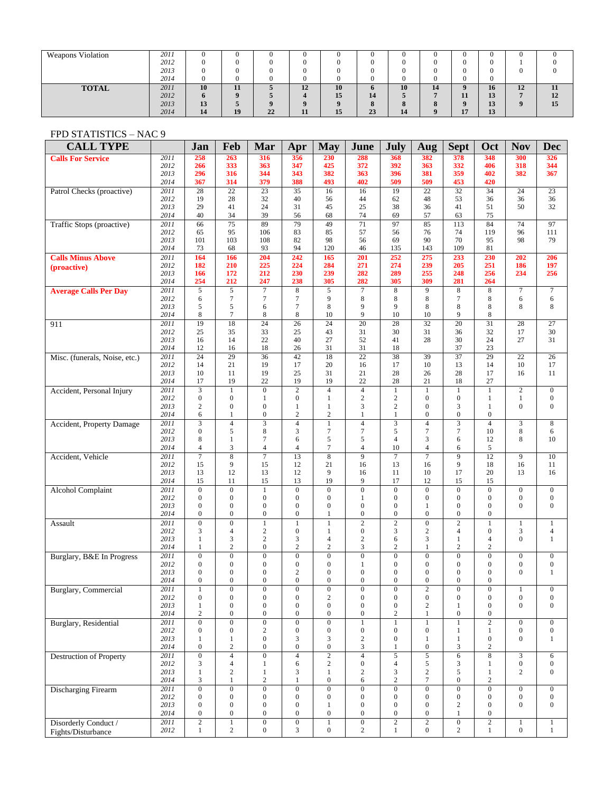| <b>Weapons Violation</b> | 2011 |    |     |    |    |    |              |    |            | -0          | U                | U  |    |
|--------------------------|------|----|-----|----|----|----|--------------|----|------------|-------------|------------------|----|----|
|                          | 2012 |    |     |    |    |    |              |    |            |             |                  |    |    |
|                          | 2013 |    |     |    |    |    |              |    |            |             |                  | O  |    |
|                          | 2014 |    |     |    |    |    |              |    |            | O           | $\left( \right)$ |    |    |
| <b>TOTAL</b>             | 2011 | 10 | 11  |    | 12 | 10 | $\mathbf{v}$ | 10 | 14         | $\mathbf o$ | 16               | 12 | 11 |
|                          | 2012 | n. |     |    |    | 15 | 14           |    | -          | 11          | 13               |    | 12 |
|                          | 2013 | 13 | - 2 |    |    |    | $\mathbf o$  |    | $^{\circ}$ | $\mathbf o$ | 13               | ш  | 15 |
|                          | 2014 | 14 | 19  | 22 | 11 | 15 | 23           | 14 |            | 17          | 13               |    |    |

## FPD STATISTICS – NAC 9

| <b>CALL TYPE</b>                 |                          | Jan                                  | Feb                                  | Mar                                  | Apr                                  | <b>May</b>                           | June                                 | <b>July</b>                          | Aug                                  | <b>Sept</b>                        | Oct                                  | <b>Nov</b>                           | <b>Dec</b>                           |
|----------------------------------|--------------------------|--------------------------------------|--------------------------------------|--------------------------------------|--------------------------------------|--------------------------------------|--------------------------------------|--------------------------------------|--------------------------------------|------------------------------------|--------------------------------------|--------------------------------------|--------------------------------------|
| <b>Calls For Service</b>         | 2011                     | 258                                  | 263                                  | 316                                  | 356                                  | 230                                  | 288                                  | 368                                  | 382                                  | 378                                | 348                                  | 300                                  | 326                                  |
|                                  | 2012<br>2013             | 266<br>296                           | 333<br>316                           | 363<br>344                           | 347<br>343                           | 425<br>382                           | 372<br>363                           | 392<br>396                           | 363<br>381                           | 332<br>359                         | 406<br>402                           | 318<br>382                           | 344<br>367                           |
|                                  | 2014                     | 367                                  | 314                                  | 379                                  | 388                                  | 493                                  | 402                                  | 509                                  | 509                                  | 453                                | 420                                  |                                      |                                      |
| Patrol Checks (proactive)        | 2011                     | 28                                   | 22                                   | 23                                   | 35                                   | 16                                   | 16                                   | 19                                   | 22                                   | 32                                 | 34                                   | 24                                   | 23                                   |
|                                  | 2012                     | 19                                   | 28                                   | 32                                   | 40                                   | 56                                   | 44                                   | 62                                   | 48                                   | 53                                 | 36                                   | 36                                   | 36                                   |
|                                  | 2013<br>2014             | 29<br>40                             | 41<br>34                             | 24<br>39                             | 31<br>56                             | 45<br>68                             | 25<br>74                             | 38<br>69                             | 36<br>57                             | 41<br>63                           | 51<br>75                             | 50                                   | 32                                   |
| <b>Traffic Stops (proactive)</b> | 2011                     | 66                                   | 75                                   | 89                                   | 79                                   | 49                                   | 71                                   | 97                                   | 85                                   | 113                                | 84                                   | 74                                   | 97                                   |
|                                  | 2012                     | 65                                   | 95                                   | 106                                  | 83                                   | 85                                   | 57                                   | 56                                   | 76                                   | 74                                 | 119                                  | 96                                   | 111                                  |
|                                  | 2013<br>2014             | 101<br>73                            | 103<br>68                            | 108<br>93                            | 82<br>94                             | 98<br>120                            | 56<br>46                             | 69<br>135                            | 90<br>143                            | 70<br>109                          | 95<br>81                             | 98                                   | 79                                   |
| <b>Calls Minus Above</b>         | 2011                     | 164                                  | 166                                  | 204                                  | 242                                  | 165                                  | 201                                  | 252                                  | 275                                  | 233                                | 230                                  | 202                                  | 206                                  |
| (proactive)                      | 2012                     | 182                                  | 210                                  | 225                                  | 224                                  | 284                                  | 271                                  | 274                                  | 239                                  | 205                                | 251                                  | 186                                  | 197                                  |
|                                  | 2013                     | 166                                  | 172                                  | 212                                  | 230                                  | 239                                  | 282                                  | 289                                  | 255                                  | 248                                | 256                                  | 234                                  | 256                                  |
| <b>Average Calls Per Day</b>     | 2014<br>$\frac{2011}{ }$ | 254<br>5                             | 212<br>$\overline{5}$                | 247<br>$\tau$                        | 238<br>$\,$ 8 $\,$                   | 305<br>5                             | 282<br>$\tau$                        | 305<br>8                             | 309<br>$\overline{9}$                | 281<br>8                           | 264<br>8                             | $\tau$                               | $\boldsymbol{7}$                     |
|                                  | 2012                     | 6                                    | $\tau$                               | 7                                    | $\tau$                               | 9                                    | 8                                    | 8                                    | 8                                    | $\tau$                             | 8                                    | 6                                    | 6                                    |
|                                  | 2013                     | 5                                    | 5                                    | 6                                    | $\tau$                               | 8                                    | 9                                    | 9                                    | 8                                    | 8                                  | 8                                    | 8                                    | 8                                    |
|                                  | 2014                     | 8                                    | $\boldsymbol{7}$                     | 8                                    | 8                                    | 10                                   | 9                                    | 10                                   | 10                                   | 9                                  | 8                                    |                                      |                                      |
| 911                              | 2011<br>2012             | 19<br>25                             | 18<br>35                             | 24<br>33                             | 26<br>25                             | 24<br>43                             | 20<br>31                             | 28<br>30                             | 32<br>31                             | 20<br>36                           | 31<br>32                             | 28<br>17                             | 27<br>30                             |
|                                  | 2013                     | 16                                   | 14                                   | 22                                   | 40                                   | 27                                   | 52                                   | 41                                   | 28                                   | 30                                 | 24                                   | 27                                   | 31                                   |
|                                  | 2014                     | 12                                   | 16                                   | 18                                   | 26                                   | 31                                   | 31                                   | 18                                   |                                      | 37                                 | 23                                   |                                      |                                      |
| Misc. (funerals, Noise, etc.)    | 2011                     | 24                                   | 29                                   | 36                                   | 42                                   | 18                                   | $\overline{22}$                      | $\overline{38}$                      | 39                                   | $\overline{37}$                    | 29                                   | $\overline{22}$                      | 26                                   |
|                                  | 2012<br>2013             | 14<br>10                             | 21<br>11                             | 19<br>19                             | 17<br>25                             | 20<br>31                             | 16<br>21                             | 17<br>28                             | 10<br>26                             | 13<br>28                           | 14<br>17                             | 10<br>16                             | 17<br>11                             |
|                                  | 2014                     | 17                                   | 19                                   | 22                                   | 19                                   | 19                                   | 22                                   | 28                                   | 21                                   | 18                                 | 27                                   |                                      |                                      |
| Accident, Personal Injury        | 2011                     | $\overline{\mathbf{3}}$              | $\mathbf{1}$                         | $\mathbf{0}$                         | $\overline{2}$                       | $\overline{4}$                       | $\overline{4}$                       | $\mathbf{1}$                         | $\mathbf{1}$                         | $\mathbf{1}$                       | $\mathbf{1}$                         | 2                                    | $\mathbf{0}$                         |
|                                  | 2012                     | $\boldsymbol{0}$                     | $\boldsymbol{0}$                     | $\mathbf{1}$                         | $\boldsymbol{0}$                     | $\mathbf{1}$                         | 2                                    | $\overline{c}$                       | $\boldsymbol{0}$                     | $\boldsymbol{0}$                   | $\mathbf{1}$                         | $\mathbf{1}$                         | $\boldsymbol{0}$                     |
|                                  | 2013<br>2014             | $\sqrt{2}$<br>6                      | $\mathbf{0}$<br>$\mathbf{1}$         | $\overline{0}$<br>$\boldsymbol{0}$   | 1<br>$\overline{c}$                  | 1<br>$\overline{\mathbf{c}}$         | 3<br>1                               | $\sqrt{2}$<br>$\mathbf{1}$           | $\mathbf{0}$<br>$\boldsymbol{0}$     | 3<br>$\boldsymbol{0}$              | 1<br>$\boldsymbol{0}$                | $\mathbf{0}$                         | $\mathbf{0}$                         |
| Accident, Property Damage        | 2011                     | $\overline{3}$                       | $\overline{4}$                       | 3                                    | $\overline{4}$                       | $\mathbf{1}$                         | $\overline{4}$                       | $\overline{\mathbf{3}}$              | $\overline{4}$                       | 3                                  | $\overline{4}$                       | $\mathfrak{Z}$                       | 8                                    |
|                                  | 2012                     | $\boldsymbol{0}$                     | 5                                    | 8                                    | 3                                    | $\tau$                               | $\overline{7}$                       | 5                                    | $\overline{7}$                       | $\overline{7}$                     | 10                                   | 8                                    | 6                                    |
|                                  | 2013                     | 8                                    | $\mathbf{1}$                         | 7                                    | 6                                    | 5                                    | 5                                    | 4                                    | 3                                    | 6                                  | 12                                   | 8                                    | 10                                   |
| Accident, Vehicle                | 2014<br>2011             | $\overline{4}$<br>$\overline{7}$     | 3<br>$\overline{8}$                  | $\overline{4}$<br>$\overline{7}$     | 4<br>13                              | $\tau$<br>$\overline{8}$             | $\overline{4}$<br>9                  | 10<br>$\overline{7}$                 | 4<br>$\overline{7}$                  | 6<br>$\overline{9}$                | 5<br>12                              | 9                                    | 10                                   |
|                                  | 2012                     | 15                                   | 9                                    | 15                                   | 12                                   | 21                                   | 16                                   | 13                                   | 16                                   | 9                                  | 18                                   | 16                                   | 11                                   |
|                                  | 2013                     | 13                                   | 12                                   | 13                                   | 12                                   | 9                                    | 16                                   | 11                                   | 10                                   | 17                                 | 20                                   | 13                                   | 16                                   |
|                                  | 2014                     | 15                                   | 11                                   | 15                                   | 13                                   | 19                                   | 9                                    | 17                                   | 12                                   | 15                                 | 15                                   |                                      |                                      |
| <b>Alcohol Complaint</b>         | 2011<br>2012             | $\boldsymbol{0}$<br>$\boldsymbol{0}$ | $\boldsymbol{0}$<br>$\boldsymbol{0}$ | $\mathbf{1}$<br>$\overline{0}$       | $\boldsymbol{0}$<br>$\boldsymbol{0}$ | $\boldsymbol{0}$<br>$\boldsymbol{0}$ | $\boldsymbol{0}$<br>1                | $\boldsymbol{0}$<br>$\boldsymbol{0}$ | $\boldsymbol{0}$<br>$\boldsymbol{0}$ | $\mathbf{0}$<br>$\mathbf{0}$       | $\boldsymbol{0}$<br>$\boldsymbol{0}$ | $\boldsymbol{0}$<br>$\boldsymbol{0}$ | $\boldsymbol{0}$<br>$\boldsymbol{0}$ |
|                                  | 2013                     | $\boldsymbol{0}$                     | $\boldsymbol{0}$                     | $\mathbf{0}$                         | $\boldsymbol{0}$                     | $\boldsymbol{0}$                     | $\mathbf{0}$                         | $\mathbf{0}$                         | 1                                    | $\mathbf{0}$                       | $\mathbf{0}$                         | $\mathbf{0}$                         | $\boldsymbol{0}$                     |
|                                  | 2014                     | $\mathbf{0}$                         | $\mathbf{0}$                         | $\overline{0}$                       | $\mathbf{0}$                         | 1                                    | $\boldsymbol{0}$                     | $\boldsymbol{0}$                     | $\mathbf{0}$                         | $\boldsymbol{0}$                   | $\overline{0}$                       |                                      |                                      |
| Assault                          | 2011                     | $\overline{0}$                       | $\overline{0}$                       | $\mathbf{1}$                         | $\mathbf{1}$                         | $\mathbf{1}$                         | $\overline{2}$                       | $\overline{2}$                       | $\overline{0}$                       | $\overline{2}$                     | $\mathbf{1}$                         | $\mathbf{1}$                         | $\mathbf{1}$                         |
|                                  | 2012<br>2013             | 3<br>$\mathbf{1}$                    | $\overline{4}$<br>3                  | $\overline{c}$<br>2                  | $\boldsymbol{0}$<br>3                | 1<br>$\overline{4}$                  | $\boldsymbol{0}$<br>$\overline{c}$   | 3<br>6                               | $\mathbf{2}$<br>3                    | 4<br>$\mathbf{1}$                  | $\boldsymbol{0}$<br>4                | 3<br>$\mathbf{0}$                    | $\overline{4}$<br>$\mathbf{1}$       |
|                                  | 2014                     | 1                                    | $\sqrt{2}$                           | $\boldsymbol{0}$                     | $\overline{c}$                       | $\sqrt{2}$                           | 3                                    | $\sqrt{2}$                           | $\mathbf{1}$                         | $\mathbf{2}$                       | $\overline{c}$                       |                                      |                                      |
| Burglary, B&E In Progress        | 2011                     | $\mathbf{0}$                         | $\overline{0}$                       | $\overline{0}$                       | $\overline{0}$                       | $\mathbf{0}$                         | $\overline{0}$                       | $\overline{0}$                       | $\mathbf{0}$                         | $\overline{0}$                     | $\mathbf{0}$                         | $\boldsymbol{0}$                     | $\boldsymbol{0}$                     |
|                                  | 2012<br>2013             | $\boldsymbol{0}$                     | $\boldsymbol{0}$                     | $\mathbf{0}$<br>$\mathbf{0}$         | $\boldsymbol{0}$                     | $\boldsymbol{0}$                     | 1<br>$\mathbf{0}$                    | $\boldsymbol{0}$                     | $\boldsymbol{0}$                     | $\boldsymbol{0}$                   | 0<br>$\overline{0}$                  | $\boldsymbol{0}$<br>$\mathbf{0}$     | $\boldsymbol{0}$                     |
|                                  | 2014                     | $\boldsymbol{0}$<br>$\boldsymbol{0}$ | $\boldsymbol{0}$<br>$\mathbf{0}$     | $\mathbf{0}$                         | $\boldsymbol{2}$<br>$\mathbf{0}$     | $\boldsymbol{0}$<br>$\mathbf{0}$     | $\mathbf{0}$                         | $\boldsymbol{0}$<br>$\boldsymbol{0}$ | $\boldsymbol{0}$<br>$\mathbf{0}$     | $\boldsymbol{0}$<br>$\mathbf{0}$   | $\overline{0}$                       |                                      | 1                                    |
| <b>Burglary</b> , Commercial     | 2011                     |                                      | $\boldsymbol{0}$                     | $\boldsymbol{0}$                     | $\boldsymbol{0}$                     | $\boldsymbol{0}$                     | $\boldsymbol{0}$                     | $\overline{0}$                       | $\overline{\mathbf{c}}$              | $\boldsymbol{0}$                   | $\boldsymbol{0}$                     |                                      | $\boldsymbol{0}$                     |
|                                  | 2012                     | $\boldsymbol{0}$                     | $\boldsymbol{0}$                     | $\boldsymbol{0}$                     | $\boldsymbol{0}$                     | $\sqrt{2}$                           | $\boldsymbol{0}$                     | $\boldsymbol{0}$                     | $\boldsymbol{0}$                     | $\boldsymbol{0}$                   | $\boldsymbol{0}$                     | $\boldsymbol{0}$                     | $\boldsymbol{0}$                     |
|                                  | 2013<br>2014             | 1<br>$\sqrt{2}$                      | $\boldsymbol{0}$<br>$\boldsymbol{0}$ | $\boldsymbol{0}$<br>$\boldsymbol{0}$ | $\boldsymbol{0}$<br>$\boldsymbol{0}$ | $\boldsymbol{0}$<br>$\boldsymbol{0}$ | $\boldsymbol{0}$<br>$\boldsymbol{0}$ | $\boldsymbol{0}$<br>$\boldsymbol{2}$ | $\overline{c}$<br>$\mathbf{1}$       | $\mathbf{1}$<br>$\boldsymbol{0}$   | $\boldsymbol{0}$<br>$\boldsymbol{0}$ | $\overline{0}$                       | $\boldsymbol{0}$                     |
| Burglary, Residential            | 2011                     | $\boldsymbol{0}$                     | $\overline{0}$                       | $\overline{0}$                       | $\boldsymbol{0}$                     | $\boldsymbol{0}$                     | $\mathbf{1}$                         | $\mathbf{1}$                         | $\,1$                                | $\mathbf{1}$                       | $\sqrt{2}$                           | $\overline{0}$                       | $\boldsymbol{0}$                     |
|                                  | 2012                     | $\boldsymbol{0}$                     | $\boldsymbol{0}$                     | $\overline{c}$                       | $\boldsymbol{0}$                     | $\boldsymbol{0}$                     | $\boldsymbol{0}$                     | $\boldsymbol{0}$                     | $\boldsymbol{0}$                     | $\mathbf{1}$                       | $\mathbf{1}$                         | $\mathbf{0}$                         | $\boldsymbol{0}$                     |
|                                  | 2013                     | 1                                    | $\mathbf{1}$                         | $\boldsymbol{0}$                     | 3                                    | 3                                    | $\mathbf{2}$                         | $\boldsymbol{0}$                     | $\mathbf{1}$                         | $\mathbf{1}$                       | $\boldsymbol{0}$                     | $\mathbf{0}$                         | $\mathbf{1}$                         |
|                                  | 2014                     | $\boldsymbol{0}$                     | $\sqrt{2}$                           | $\boldsymbol{0}$                     | $\boldsymbol{0}$                     | $\boldsymbol{0}$                     | 3                                    | 1                                    | $\boldsymbol{0}$                     | 3                                  | 2                                    |                                      |                                      |
| <b>Destruction of Property</b>   | 2011<br>2012             | $\overline{0}$<br>$\mathfrak{Z}$     | $\overline{4}$<br>$\overline{4}$     | $\overline{0}$<br>$\mathbf{1}$       | $\overline{4}$<br>6                  | $\overline{2}$<br>$\,2$              | $\overline{4}$<br>$\boldsymbol{0}$   | $\overline{5}$<br>4                  | $\overline{5}$<br>5                  | $\overline{6}$<br>3                | $\overline{8}$<br>$\mathbf{1}$       | 3<br>$\boldsymbol{0}$                | 6<br>$\boldsymbol{0}$                |
|                                  | 2013                     | $\mathbf{1}$                         | $\sqrt{2}$                           | $\mathbf{1}$                         | 3                                    | $\mathbf{1}$                         | $\boldsymbol{2}$                     | 3                                    | $\overline{c}$                       | 5                                  | 1                                    | $\overline{c}$                       | $\boldsymbol{0}$                     |
|                                  | 2014                     | $\ensuremath{\mathsf{3}}$            | $\mathbf{1}$                         | $\overline{c}$                       | $\,1$                                | $\boldsymbol{0}$                     | 6                                    | $\overline{c}$                       | $\tau$                               | $\boldsymbol{0}$                   | $\sqrt{2}$                           |                                      |                                      |
| <b>Discharging Firearm</b>       | 2011                     | $\boldsymbol{0}$                     | $\boldsymbol{0}$                     | $\boldsymbol{0}$                     | $\overline{0}$                       | $\overline{0}$                       | $\boldsymbol{0}$                     | $\boldsymbol{0}$                     | $\overline{0}$                       | $\overline{0}$                     | $\overline{0}$                       | $\overline{0}$                       | $\mathbf{0}$                         |
|                                  | 2012<br>2013             | $\boldsymbol{0}$<br>$\boldsymbol{0}$ | $\boldsymbol{0}$<br>$\boldsymbol{0}$ | $\boldsymbol{0}$<br>$\boldsymbol{0}$ | $\boldsymbol{0}$<br>$\boldsymbol{0}$ | $\boldsymbol{0}$<br>1                | $\boldsymbol{0}$<br>$\boldsymbol{0}$ | $\boldsymbol{0}$<br>$\boldsymbol{0}$ | $\boldsymbol{0}$<br>$\boldsymbol{0}$ | $\boldsymbol{0}$<br>$\overline{c}$ | $\boldsymbol{0}$<br>$\boldsymbol{0}$ | $\mathbf{0}$<br>$\mathbf{0}$         | $\boldsymbol{0}$<br>$\boldsymbol{0}$ |
|                                  | 2014                     | $\boldsymbol{0}$                     | $\boldsymbol{0}$                     | $\boldsymbol{0}$                     | $\boldsymbol{0}$                     | $\boldsymbol{0}$                     | $\boldsymbol{0}$                     | $\boldsymbol{0}$                     | $\boldsymbol{0}$                     | $\mathbf{1}$                       | $\boldsymbol{0}$                     |                                      |                                      |
| Disorderly Conduct /             | 2011                     | $\overline{2}$                       | $\,1$                                | $\overline{0}$                       | $\overline{0}$                       | $\,1$                                | $\overline{0}$                       | $\overline{2}$                       | $\overline{2}$                       | $\overline{0}$                     | $\overline{2}$                       | $\mathbf{1}$                         | $\mathbf{1}$                         |
| Fights/Disturbance               | 2012                     | $\mathbf{1}$                         | $\overline{c}$                       | $\overline{0}$                       | 3                                    | $\boldsymbol{0}$                     | $\overline{c}$                       | $\mathbf{1}$                         | $\overline{0}$                       | $\overline{c}$                     | $\mathbf{1}$                         | $\boldsymbol{0}$                     | $\mathbf{1}$                         |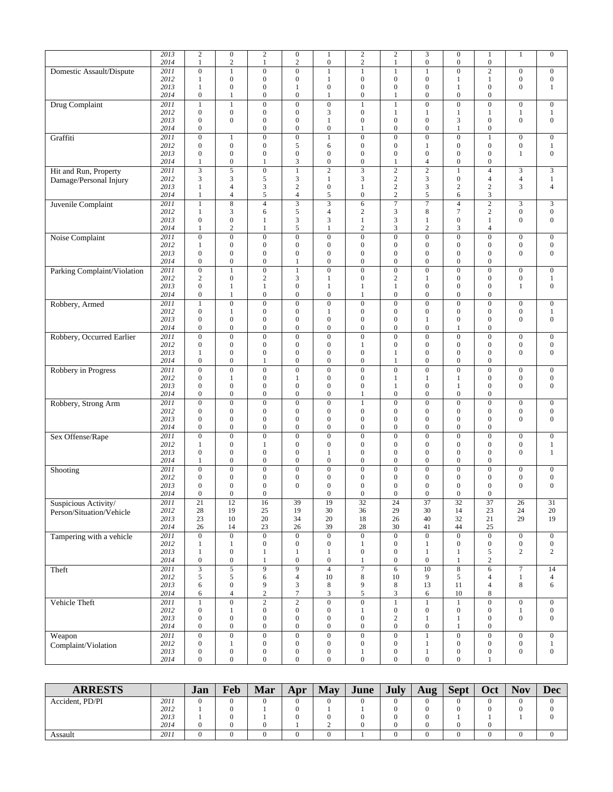|                             | 2013<br>2014 | $\overline{c}$<br>$\mathbf{1}$       | $\boldsymbol{0}$<br>$\sqrt{2}$       | $\sqrt{2}$<br>$\mathbf{1}$           | $\overline{0}$<br>2                  | $\mathbf{1}$<br>$\boldsymbol{0}$     | $\sqrt{2}$<br>$\boldsymbol{2}$       | $\sqrt{2}$<br>$\mathbf{1}$           | $\mathfrak{Z}$<br>$\boldsymbol{0}$   | $\overline{0}$<br>$\boldsymbol{0}$   | $\,1\,$<br>$\boldsymbol{0}$          | $\mathbf{1}$                         | $\overline{0}$                       |
|-----------------------------|--------------|--------------------------------------|--------------------------------------|--------------------------------------|--------------------------------------|--------------------------------------|--------------------------------------|--------------------------------------|--------------------------------------|--------------------------------------|--------------------------------------|--------------------------------------|--------------------------------------|
| Domestic Assault/Dispute    | 2011         | $\overline{0}$                       | $\mathbf{1}$                         | $\mathbf{0}$                         | $\overline{0}$                       | $\mathbf{1}$                         | $\mathbf{1}$                         | $\mathbf{1}$                         | $\mathbf{1}$                         | $\overline{0}$                       | $\overline{2}$                       | $\boldsymbol{0}$                     | $\boldsymbol{0}$                     |
|                             | 2012         | $\mathbf{1}$                         | $\boldsymbol{0}$                     | $\boldsymbol{0}$                     | 0                                    | $\mathbf{1}$                         | $\boldsymbol{0}$                     | $\boldsymbol{0}$                     | $\boldsymbol{0}$                     | 1                                    | $\mathbf{1}$                         | $\boldsymbol{0}$                     | $\boldsymbol{0}$                     |
|                             | 2013         | $\mathbf{1}$                         | $\boldsymbol{0}$                     | $\overline{0}$                       | $\mathbf{1}$                         | $\boldsymbol{0}$                     | $\overline{0}$                       | $\overline{0}$                       | $\boldsymbol{0}$                     | 1                                    | $\mathbf{0}$                         | $\mathbf{0}$                         | $\,1$                                |
|                             | 2014<br>2011 | $\boldsymbol{0}$<br>$\mathbf{1}$     | 1                                    | $\boldsymbol{0}$<br>$\boldsymbol{0}$ | $\boldsymbol{0}$<br>$\boldsymbol{0}$ | 1<br>$\overline{0}$                  | $\boldsymbol{0}$                     | 1                                    | $\boldsymbol{0}$<br>$\overline{0}$   | $\boldsymbol{0}$<br>$\overline{0}$   | $\boldsymbol{0}$<br>$\overline{0}$   | $\boldsymbol{0}$                     | $\boldsymbol{0}$                     |
| <b>Drug Complaint</b>       | 2012         | $\boldsymbol{0}$                     | $\mathbf{1}$<br>$\boldsymbol{0}$     | $\boldsymbol{0}$                     | 0                                    | 3                                    | $\mathbf{1}$<br>$\boldsymbol{0}$     | $\mathbf{1}$<br>$\mathbf{1}$         | $\mathbf{1}$                         | $\mathbf{1}$                         | $\mathbf{1}$                         | 1                                    | $\mathbf{1}$                         |
|                             | 2013         | $\overline{0}$                       | $\mathbf{0}$                         | $\boldsymbol{0}$                     | $\overline{0}$                       | $\mathbf{1}$                         | $\boldsymbol{0}$                     | $\boldsymbol{0}$                     | $\boldsymbol{0}$                     | 3                                    | $\boldsymbol{0}$                     | $\boldsymbol{0}$                     | $\boldsymbol{0}$                     |
|                             | 2014         | $\boldsymbol{0}$                     |                                      | $\boldsymbol{0}$                     | 0                                    | $\boldsymbol{0}$                     | 1                                    | $\boldsymbol{0}$                     | $\boldsymbol{0}$                     | $\mathbf{1}$                         | $\boldsymbol{0}$                     |                                      |                                      |
| Graffiti                    | 2011         | $\overline{0}$                       | $\mathbf{1}$                         | $\boldsymbol{0}$                     | $\boldsymbol{0}$                     | $\mathbf{1}$                         | $\mathbf{0}$                         | $\overline{0}$                       | $\overline{0}$                       | $\overline{0}$                       | $\mathbf{1}$                         | $\boldsymbol{0}$                     | $\mathbf{0}$                         |
|                             | 2012         | $\boldsymbol{0}$                     | $\boldsymbol{0}$                     | $\boldsymbol{0}$                     | 5                                    | 6                                    | $\boldsymbol{0}$                     | $\boldsymbol{0}$                     | $\mathbf{1}$                         | $\boldsymbol{0}$                     | $\boldsymbol{0}$                     | $\boldsymbol{0}$                     | $\mathbf{1}$                         |
|                             | 2013<br>2014 | $\overline{0}$<br>1                  | $\boldsymbol{0}$<br>$\boldsymbol{0}$ | $\overline{0}$<br>1                  | $\overline{0}$<br>3                  | $\boldsymbol{0}$<br>$\boldsymbol{0}$ | $\mathbf{0}$<br>$\boldsymbol{0}$     | $\mathbf{0}$<br>1                    | $\boldsymbol{0}$<br>4                | $\overline{0}$<br>$\boldsymbol{0}$   | $\mathbf{0}$<br>$\boldsymbol{0}$     | 1                                    | $\boldsymbol{0}$                     |
| Hit and Run, Property       | 2011         | 3                                    | 5                                    | $\boldsymbol{0}$                     | $\mathbf{1}$                         | $\sqrt{2}$                           | 3                                    | $\mathbf{2}$                         | $\sqrt{2}$                           | $\mathbf{1}$                         | $\overline{4}$                       | 3                                    | 3                                    |
| Damage/Personal Injury      | 2012         | 3                                    | 3                                    | 5                                    | 3                                    | $\mathbf{1}$                         | 3                                    | $\sqrt{2}$                           | 3                                    | $\boldsymbol{0}$                     | 4                                    | $\overline{4}$                       | $\mathbf{1}$                         |
|                             | 2013         | 1                                    | 4                                    | 3                                    | $\overline{c}$                       | $\boldsymbol{0}$                     | 1                                    | $\sqrt{2}$                           | 3                                    | $\sqrt{2}$                           | $\overline{c}$                       | 3                                    | $\overline{4}$                       |
|                             | 2014         | $\mathbf{1}$                         | $\overline{4}$                       | 5                                    | 4                                    | 5                                    | $\boldsymbol{0}$                     | $\sqrt{2}$                           | 5                                    | 6                                    | 3                                    |                                      |                                      |
| Juvenile Complaint          | 2011         | $\mathbf{1}$                         | 8                                    | $\overline{4}$                       | $\overline{\mathbf{3}}$              | $\overline{3}$                       | 6                                    | $\overline{7}$                       | $\overline{7}$                       | $\overline{4}$                       | $\overline{2}$                       | 3                                    | 3                                    |
|                             | 2012<br>2013 | $\mathbf{1}$<br>$\boldsymbol{0}$     | 3<br>$\boldsymbol{0}$                | 6<br>1                               | 5<br>3                               | 4<br>3                               | $\sqrt{2}$<br>$\mathbf{1}$           | 3<br>3                               | $\,$ 8 $\,$<br>$\mathbf{1}$          | $\tau$<br>$\boldsymbol{0}$           | $\sqrt{2}$<br>$\mathbf{1}$           | $\boldsymbol{0}$<br>$\mathbf{0}$     | $\boldsymbol{0}$<br>$\boldsymbol{0}$ |
|                             | 2014         | $\mathbf{1}$                         | $\mathbf{2}$                         | $\mathbf{1}$                         | 5                                    | $\mathbf{1}$                         | $\overline{c}$                       | 3                                    | $\overline{c}$                       | 3                                    | 4                                    |                                      |                                      |
| Noise Complaint             | 2011         | $\overline{0}$                       | $\boldsymbol{0}$                     | $\boldsymbol{0}$                     | $\overline{0}$                       | $\boldsymbol{0}$                     | $\mathbf{0}$                         | $\mathbf{0}$                         | $\mathbf{0}$                         | $\mathbf{0}$                         | $\boldsymbol{0}$                     | $\boldsymbol{0}$                     | $\boldsymbol{0}$                     |
|                             | 2012         | 1                                    | $\boldsymbol{0}$                     | $\boldsymbol{0}$                     | 0                                    | $\mathbf{0}$                         | $\boldsymbol{0}$                     | $\boldsymbol{0}$                     | $\boldsymbol{0}$                     | $\boldsymbol{0}$                     | $\boldsymbol{0}$                     | $\boldsymbol{0}$                     | $\boldsymbol{0}$                     |
|                             | 2013         | $\boldsymbol{0}$                     | $\boldsymbol{0}$                     | $\boldsymbol{0}$                     | 0                                    | $\boldsymbol{0}$                     | $\boldsymbol{0}$                     | $\boldsymbol{0}$                     | $\boldsymbol{0}$                     | $\overline{0}$                       | $\mathbf{0}$                         | $\boldsymbol{0}$                     | $\boldsymbol{0}$                     |
|                             | 2014<br>2011 | $\boldsymbol{0}$<br>$\overline{0}$   | $\boldsymbol{0}$<br>$\overline{1}$   | $\boldsymbol{0}$<br>$\overline{0}$   | 1<br>$\mathbf{1}$                    | $\overline{0}$<br>$\overline{0}$     | $\boldsymbol{0}$<br>$\overline{0}$   | $\mathbf{0}$<br>$\overline{0}$       | $\overline{0}$<br>$\overline{0}$     | $\boldsymbol{0}$<br>$\overline{0}$   | $\mathbf{0}$<br>$\overline{0}$       | $\mathbf{0}$                         | $\boldsymbol{0}$                     |
| Parking Complaint/Violation | 2012         | $\mathbf{2}$                         | $\boldsymbol{0}$                     | $\boldsymbol{2}$                     | 3                                    | $\mathbf{1}$                         | $\boldsymbol{0}$                     | $\sqrt{2}$                           | 1                                    | $\boldsymbol{0}$                     | $\boldsymbol{0}$                     | $\boldsymbol{0}$                     | $\mathbf{1}$                         |
|                             | 2013         | $\boldsymbol{0}$                     | $\mathbf{1}$                         | $\mathbf{1}$                         | 0                                    | $\mathbf{1}$                         | 1                                    | $\mathbf{1}$                         | $\boldsymbol{0}$                     | $\mathbf{0}$                         | $\boldsymbol{0}$                     | $\mathbf{1}$                         | $\boldsymbol{0}$                     |
|                             | 2014         | $\boldsymbol{0}$                     | 1                                    | $\boldsymbol{0}$                     | $\boldsymbol{0}$                     | $\boldsymbol{0}$                     | 1                                    | $\boldsymbol{0}$                     | $\boldsymbol{0}$                     | $\boldsymbol{0}$                     | $\boldsymbol{0}$                     |                                      |                                      |
| Robbery, Armed              | 2011         | $\mathbf{1}$                         | $\overline{0}$                       | $\overline{0}$                       | $\overline{0}$                       | $\overline{0}$                       | $\overline{0}$                       | $\overline{0}$                       | $\overline{0}$                       | $\overline{0}$                       | $\overline{0}$                       | $\mathbf{0}$                         | $\overline{0}$                       |
|                             | 2012<br>2013 | $\boldsymbol{0}$<br>$\boldsymbol{0}$ | $\mathbf{1}$<br>$\boldsymbol{0}$     | $\boldsymbol{0}$<br>$\boldsymbol{0}$ | 0<br>0                               | 1<br>$\boldsymbol{0}$                | $\boldsymbol{0}$<br>$\boldsymbol{0}$ | $\boldsymbol{0}$<br>$\boldsymbol{0}$ | $\boldsymbol{0}$<br>$\mathbf{1}$     | $\boldsymbol{0}$<br>$\boldsymbol{0}$ | $\boldsymbol{0}$<br>$\mathbf{0}$     | $\boldsymbol{0}$<br>$\mathbf{0}$     | $\mathbf{1}$<br>$\boldsymbol{0}$     |
|                             | 2014         | $\overline{0}$                       | $\boldsymbol{0}$                     | $\mathbf{0}$                         | $\overline{0}$                       | $\boldsymbol{0}$                     | $\boldsymbol{0}$                     | $\overline{0}$                       | $\boldsymbol{0}$                     | 1                                    | $\mathbf{0}$                         |                                      |                                      |
| Robbery, Occurred Earlier   | 2011         | $\overline{0}$                       | $\overline{0}$                       | $\overline{0}$                       | $\overline{0}$                       | $\overline{0}$                       | $\overline{0}$                       | $\overline{0}$                       | $\overline{0}$                       | $\overline{0}$                       | $\overline{0}$                       | $\boldsymbol{0}$                     | $\overline{0}$                       |
|                             | 2012         | $\boldsymbol{0}$                     | $\boldsymbol{0}$                     | $\boldsymbol{0}$                     | 0                                    | $\mathbf{0}$                         | $\mathbf{1}$                         | $\boldsymbol{0}$                     | $\boldsymbol{0}$                     | $\boldsymbol{0}$                     | $\boldsymbol{0}$                     | $\boldsymbol{0}$                     | $\boldsymbol{0}$                     |
|                             | 2013         | 1                                    | $\boldsymbol{0}$                     | $\boldsymbol{0}$                     | 0                                    | $\boldsymbol{0}$                     | $\mathbf{0}$                         | 1                                    | $\boldsymbol{0}$                     | $\boldsymbol{0}$                     | $\boldsymbol{0}$                     | $\mathbf{0}$                         | $\boldsymbol{0}$                     |
|                             | 2014<br>2011 | $\boldsymbol{0}$<br>$\overline{0}$   | $\boldsymbol{0}$<br>$\overline{0}$   | 1<br>$\overline{0}$                  | 0<br>$\overline{0}$                  | $\mathbf{0}$<br>$\overline{0}$       | $\boldsymbol{0}$                     | 1<br>$\overline{0}$                  | $\boldsymbol{0}$<br>$\overline{0}$   | $\boldsymbol{0}$<br>$\overline{0}$   | $\boldsymbol{0}$<br>$\overline{0}$   |                                      |                                      |
| Robbery in Progress         | 2012         | $\boldsymbol{0}$                     | $\mathbf{1}$                         | $\boldsymbol{0}$                     | $\mathbf{1}$                         | $\boldsymbol{0}$                     | $\boldsymbol{0}$<br>$\boldsymbol{0}$ | $\mathbf{1}$                         | $\mathbf{1}$                         | 1                                    | $\boldsymbol{0}$                     | $\boldsymbol{0}$<br>$\boldsymbol{0}$ | $\boldsymbol{0}$<br>$\boldsymbol{0}$ |
|                             | 2013         | $\boldsymbol{0}$                     | $\boldsymbol{0}$                     | $\boldsymbol{0}$                     | $\boldsymbol{0}$                     | $\boldsymbol{0}$                     | $\boldsymbol{0}$                     | 1                                    | $\boldsymbol{0}$                     | 1                                    | $\boldsymbol{0}$                     | $\mathbf{0}$                         | $\boldsymbol{0}$                     |
|                             | 2014         | $\boldsymbol{0}$                     | $\boldsymbol{0}$                     | $\boldsymbol{0}$                     | 0                                    | $\boldsymbol{0}$                     | 1                                    | $\boldsymbol{0}$                     | $\boldsymbol{0}$                     | $\boldsymbol{0}$                     | 0                                    |                                      |                                      |
| Robbery, Strong Arm         | 2011         | $\overline{0}$                       | $\overline{0}$                       | $\boldsymbol{0}$                     | $\overline{0}$                       | $\overline{0}$                       | $\mathbf{1}$                         | $\overline{0}$                       | $\overline{0}$                       | $\overline{0}$                       | $\overline{0}$                       | $\boldsymbol{0}$                     | $\boldsymbol{0}$                     |
|                             | 2012<br>2013 | $\mathbf{0}$<br>$\overline{0}$       | $\boldsymbol{0}$<br>$\boldsymbol{0}$ | $\boldsymbol{0}$<br>$\boldsymbol{0}$ | $\overline{0}$<br>0                  | $\boldsymbol{0}$<br>$\mathbf{0}$     | $\boldsymbol{0}$<br>$\boldsymbol{0}$ | $\overline{0}$<br>$\boldsymbol{0}$   | $\boldsymbol{0}$<br>$\boldsymbol{0}$ | $\overline{0}$<br>$\mathbf{0}$       | $\mathbf{0}$<br>$\boldsymbol{0}$     | $\boldsymbol{0}$<br>$\mathbf{0}$     | $\boldsymbol{0}$<br>$\boldsymbol{0}$ |
|                             | 2014         | $\boldsymbol{0}$                     | $\boldsymbol{0}$                     | $\boldsymbol{0}$                     | 0                                    | $\boldsymbol{0}$                     | $\boldsymbol{0}$                     | $\boldsymbol{0}$                     | $\boldsymbol{0}$                     | $\boldsymbol{0}$                     | $\boldsymbol{0}$                     |                                      |                                      |
| Sex Offense/Rape            | 2011         | $\boldsymbol{0}$                     | $\boldsymbol{0}$                     | $\boldsymbol{0}$                     | $\overline{0}$                       | $\mathbf{0}$                         | $\boldsymbol{0}$                     | $\boldsymbol{0}$                     | $\overline{0}$                       | $\overline{0}$                       | $\mathbf{0}$                         | $\boldsymbol{0}$                     | $\boldsymbol{0}$                     |
|                             | 2012         | 1                                    | $\boldsymbol{0}$                     | 1                                    | 0                                    | $\boldsymbol{0}$                     | $\boldsymbol{0}$                     | $\boldsymbol{0}$                     | $\boldsymbol{0}$                     | $\boldsymbol{0}$                     | $\boldsymbol{0}$                     | $\boldsymbol{0}$                     | $\mathbf{1}$                         |
|                             | 2013         | $\boldsymbol{0}$                     | $\boldsymbol{0}$                     | $\boldsymbol{0}$                     | 0                                    | 1                                    | $\boldsymbol{0}$                     | $\boldsymbol{0}$                     | $\boldsymbol{0}$                     | $\boldsymbol{0}$                     | $\boldsymbol{0}$                     | $\mathbf{0}$                         | $\mathbf{1}$                         |
|                             | 2014         | $\mathbf{1}$                         | $\boldsymbol{0}$                     | $\boldsymbol{0}$                     | $\overline{0}$                       | $\boldsymbol{0}$                     | $\boldsymbol{0}$                     | $\boldsymbol{0}$                     | $\boldsymbol{0}$                     | $\boldsymbol{0}$                     | $\mathbf{0}$                         |                                      |                                      |
| Shooting                    | 2011<br>2012 | $\boldsymbol{0}$<br>$\boldsymbol{0}$ | $\boldsymbol{0}$<br>$\boldsymbol{0}$ | $\boldsymbol{0}$<br>$\mathbf{0}$     | $\boldsymbol{0}$<br>0                | $\boldsymbol{0}$<br>$\boldsymbol{0}$ | $\boldsymbol{0}$<br>$\boldsymbol{0}$ | $\boldsymbol{0}$<br>$\boldsymbol{0}$ | $\boldsymbol{0}$<br>$\boldsymbol{0}$ | $\boldsymbol{0}$<br>$\overline{0}$   | $\boldsymbol{0}$<br>$\boldsymbol{0}$ | $\boldsymbol{0}$<br>$\boldsymbol{0}$ | $\boldsymbol{0}$<br>$\boldsymbol{0}$ |
|                             | 2013         | $\boldsymbol{0}$                     | $\boldsymbol{0}$                     | $\boldsymbol{0}$                     | 0                                    | $\boldsymbol{0}$                     | $\boldsymbol{0}$                     | $\boldsymbol{0}$                     | $\boldsymbol{0}$                     | $\boldsymbol{0}$                     | 0                                    | $\boldsymbol{0}$                     | $\boldsymbol{0}$                     |
|                             | 2014         | $\overline{0}$                       | $\mathbf{0}$                         | $\mathbf{0}$                         |                                      | $\overline{0}$                       | $\mathbf{0}$                         | $\mathbf{0}$                         | $\overline{0}$                       | $\overline{0}$                       | $\overline{0}$                       |                                      |                                      |
| Suspicious Activity/        | 2011         | 21                                   | 12                                   | 16                                   | 39                                   | 19                                   | 32                                   | 24                                   | 37                                   | 32                                   | 37                                   | 26                                   | 31                                   |
| Person/Situation/Vehicle    | 2012         | $28\,$                               | 19                                   | $25\,$                               | 19                                   | 30                                   | 36                                   | 29                                   | 30                                   | 14                                   | $23\,$                               | 24<br>29                             | $20\,$<br>19                         |
|                             | 2013<br>2014 | $23\,$<br>26                         | 10<br>14                             | 20<br>23                             | 34<br>26                             | 20<br>39                             | 18<br>$28\,$                         | 26<br>30                             | 40<br>$41\,$                         | 32<br>44                             | 21<br>25                             |                                      |                                      |
| Tampering with a vehicle    | 2011         | $\overline{0}$                       | $\overline{0}$                       | $\overline{0}$                       | $\overline{0}$                       | $\overline{0}$                       | $\overline{0}$                       | $\overline{0}$                       | $\overline{0}$                       | $\overline{0}$                       | $\overline{0}$                       | $\boldsymbol{0}$                     | $\mathbf{0}$                         |
|                             | 2012         | $\mathbf{1}$                         | $\mathbf{1}$                         | $\boldsymbol{0}$                     | 0                                    | $\boldsymbol{0}$                     | $\mathbf{1}$                         | $\boldsymbol{0}$                     | $\mathbf{1}$                         | $\boldsymbol{0}$                     | $\boldsymbol{0}$                     | $\boldsymbol{0}$                     | $\boldsymbol{0}$                     |
|                             | 2013         | $\mathbf{1}$                         | $\boldsymbol{0}$                     | $\mathbf{1}$                         | $\mathbf{1}$                         | $\mathbf{1}$                         | $\boldsymbol{0}$                     | $\boldsymbol{0}$                     | $\mathbf{1}$                         | $\mathbf{1}$                         | 5                                    | $\overline{c}$                       | $\overline{c}$                       |
|                             | 2014         | $\boldsymbol{0}$                     | $\boldsymbol{0}$                     | 1                                    | $\boldsymbol{0}$                     | $\boldsymbol{0}$                     | $\mathbf{1}$                         | $\boldsymbol{0}$                     | $\boldsymbol{0}$                     | $\mathbf{1}$                         | $\sqrt{2}$                           |                                      |                                      |
| Theft                       | 2011<br>2012 | $\overline{\mathbf{3}}$<br>5         | $\overline{5}$<br>5                  | $\overline{9}$<br>6                  | $\overline{9}$<br>$\overline{4}$     | $\overline{4}$<br>10                 | $\overline{7}$<br>8                  | $\overline{6}$<br>10                 | 10<br>9                              | $\overline{\bf 8}$<br>5              | $\overline{6}$<br>$\overline{4}$     | $\overline{7}$<br>$\mathbf{1}$       | 14<br>$\overline{4}$                 |
|                             | 2013         | 6                                    | $\boldsymbol{0}$                     | 9                                    | 3                                    | 8                                    | 9                                    | $\,$ 8 $\,$                          | 13                                   | 11                                   | 4                                    | $\,8\,$                              | 6                                    |
|                             | 2014         | 6                                    | $\overline{\mathcal{L}}$             | $\overline{c}$                       | $\tau$                               | $\ensuremath{\mathfrak{Z}}$          | 5                                    | 3                                    | 6                                    | $10\,$                               | $\,$ 8 $\,$                          |                                      |                                      |
| Vehicle Theft               | 2011         | $\mathbf{1}$                         | $\overline{0}$                       | $\overline{2}$                       | $\overline{2}$                       | $\overline{0}$                       | $\overline{0}$                       | $\,1$                                | $\mathbf{1}$                         | $\mathbf{1}$                         | $\overline{0}$                       | $\boldsymbol{0}$                     | $\boldsymbol{0}$                     |
|                             | 2012         | $\boldsymbol{0}$                     | $\mathbf{1}$                         | $\mathbf{0}$                         | $\boldsymbol{0}$                     | $\mathbf{0}$                         | 1                                    | $\boldsymbol{0}$                     | $\boldsymbol{0}$                     | $\boldsymbol{0}$                     | $\boldsymbol{0}$                     | 1                                    | $\mathbf{0}$                         |
|                             | 2013<br>2014 | $\boldsymbol{0}$<br>$\boldsymbol{0}$ | $\boldsymbol{0}$<br>$\boldsymbol{0}$ | $\boldsymbol{0}$<br>$\boldsymbol{0}$ | $\boldsymbol{0}$<br>$\boldsymbol{0}$ | $\boldsymbol{0}$<br>$\boldsymbol{0}$ | $\boldsymbol{0}$<br>$\boldsymbol{0}$ | $\sqrt{2}$<br>$\boldsymbol{0}$       | $\mathbf{1}$<br>$\mathbf{0}$         | $\mathbf{1}$<br>$\mathbf{1}$         | $\boldsymbol{0}$<br>$\boldsymbol{0}$ | $\boldsymbol{0}$                     | $\mathbf{0}$                         |
| Weapon                      | 2011         | $\overline{0}$                       | $\overline{0}$                       | $\overline{0}$                       | $\overline{0}$                       | $\overline{0}$                       | $\overline{0}$                       | $\overline{0}$                       | $\mathbf{1}$                         | $\overline{0}$                       | $\overline{0}$                       | $\boldsymbol{0}$                     | $\mathbf{0}$                         |
| Complaint/Violation         | 2012         | $\boldsymbol{0}$                     | $\mathbf{1}$                         | $\boldsymbol{0}$                     | $\boldsymbol{0}$                     | $\mathbf{0}$                         | $\boldsymbol{0}$                     | $\boldsymbol{0}$                     | $\mathbf{1}$                         | $\boldsymbol{0}$                     | $\boldsymbol{0}$                     | $\boldsymbol{0}$                     | $\mathbf{1}$                         |
|                             | 2013         | $\boldsymbol{0}$                     | $\boldsymbol{0}$                     | $\boldsymbol{0}$                     | $\boldsymbol{0}$                     | $\boldsymbol{0}$                     | $\mathbf{1}$                         | $\boldsymbol{0}$                     | $\mathbf{1}$                         | $\boldsymbol{0}$                     | $\boldsymbol{0}$                     | $\boldsymbol{0}$                     | $\boldsymbol{0}$                     |
|                             | 2014         | $\boldsymbol{0}$                     | $\boldsymbol{0}$                     | $\boldsymbol{0}$                     | 0                                    | $\boldsymbol{0}$                     | $\boldsymbol{0}$                     | $\boldsymbol{0}$                     | $\boldsymbol{0}$                     | $\boldsymbol{0}$                     | 1                                    |                                      |                                      |

| <b>ARRESTS</b>  |      | Jan      | Feb | Mar | Apr | May              | June | <b>July</b> | Aug | <b>Sept</b> | Oct | <b>Nov</b> | <b>Dec</b> |
|-----------------|------|----------|-----|-----|-----|------------------|------|-------------|-----|-------------|-----|------------|------------|
| Accident, PD/PI | 2011 | 0        |     |     |     | $\left( \right)$ |      |             |     |             |     |            |            |
|                 | 2012 |          |     |     |     |                  |      |             |     |             |     |            |            |
|                 | 2013 |          |     |     |     |                  |      |             |     |             |     |            |            |
|                 | 2014 | $\Omega$ |     |     |     |                  |      |             |     |             |     |            |            |
| Assault         | 2011 | 0        |     |     |     |                  |      |             |     |             |     |            |            |